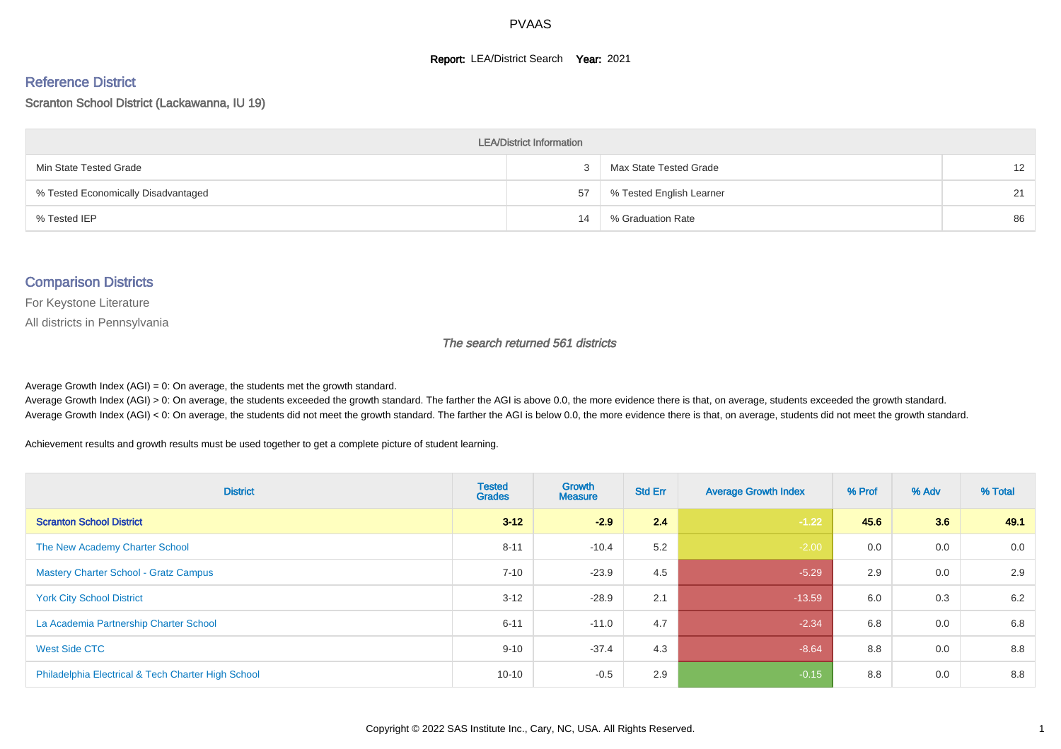#### **Report: LEA/District Search Year: 2021**

#### Reference District

Scranton School District (Lackawanna, IU 19)

| <b>LEA/District Information</b>     |    |                          |                   |  |  |  |  |  |  |  |
|-------------------------------------|----|--------------------------|-------------------|--|--|--|--|--|--|--|
| Min State Tested Grade              |    | Max State Tested Grade   | $12 \overline{ }$ |  |  |  |  |  |  |  |
| % Tested Economically Disadvantaged | 57 | % Tested English Learner | 21                |  |  |  |  |  |  |  |
| % Tested IEP                        | 14 | % Graduation Rate        | 86                |  |  |  |  |  |  |  |

#### Comparison Districts

For Keystone Literature

All districts in Pennsylvania

The search returned 561 districts

Average Growth Index  $(AGI) = 0$ : On average, the students met the growth standard.

Average Growth Index (AGI) > 0: On average, the students exceeded the growth standard. The farther the AGI is above 0.0, the more evidence there is that, on average, students exceeded the growth standard. Average Growth Index (AGI) < 0: On average, the students did not meet the growth standard. The farther the AGI is below 0.0, the more evidence there is that, on average, students did not meet the growth standard.

Achievement results and growth results must be used together to get a complete picture of student learning.

| <b>District</b>                                    | <b>Tested</b><br><b>Grades</b> | <b>Growth</b><br><b>Measure</b> | <b>Std Err</b> | <b>Average Growth Index</b> | % Prof | % Adv | % Total |
|----------------------------------------------------|--------------------------------|---------------------------------|----------------|-----------------------------|--------|-------|---------|
| <b>Scranton School District</b>                    | $3 - 12$                       | $-2.9$                          | 2.4            | $-1.22$                     | 45.6   | 3.6   | 49.1    |
| The New Academy Charter School                     | $8 - 11$                       | $-10.4$                         | 5.2            | $-2.00$                     | 0.0    | 0.0   | 0.0     |
| <b>Mastery Charter School - Gratz Campus</b>       | $7 - 10$                       | $-23.9$                         | 4.5            | $-5.29$                     | 2.9    | 0.0   | 2.9     |
| <b>York City School District</b>                   | $3 - 12$                       | $-28.9$                         | 2.1            | $-13.59$                    | 6.0    | 0.3   | 6.2     |
| La Academia Partnership Charter School             | $6 - 11$                       | $-11.0$                         | 4.7            | $-2.34$                     | 6.8    | 0.0   | 6.8     |
| West Side CTC                                      | $9 - 10$                       | $-37.4$                         | 4.3            | $-8.64$                     | 8.8    | 0.0   | 8.8     |
| Philadelphia Electrical & Tech Charter High School | $10 - 10$                      | $-0.5$                          | 2.9            | $-0.15$                     | 8.8    | 0.0   | 8.8     |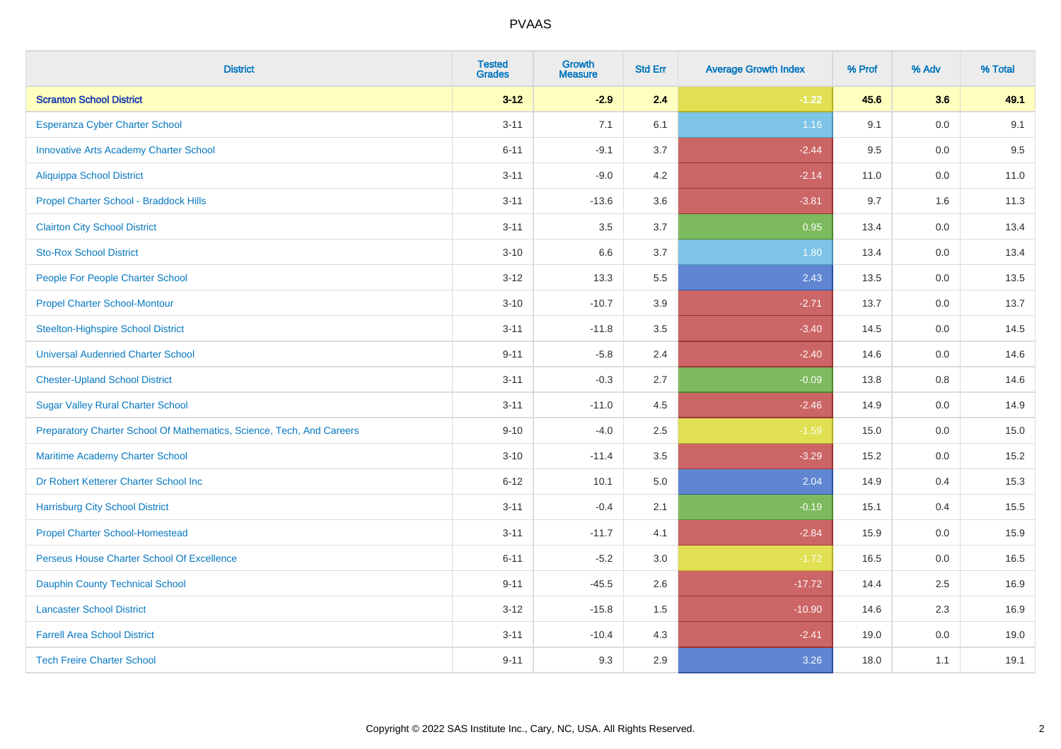| <b>District</b>                                                       | <b>Tested</b><br><b>Grades</b> | <b>Growth</b><br><b>Measure</b> | <b>Std Err</b> | <b>Average Growth Index</b> | % Prof | % Adv   | % Total |
|-----------------------------------------------------------------------|--------------------------------|---------------------------------|----------------|-----------------------------|--------|---------|---------|
| <b>Scranton School District</b>                                       | $3 - 12$                       | $-2.9$                          | 2.4            | $-1.22$                     | 45.6   | 3.6     | 49.1    |
| Esperanza Cyber Charter School                                        | $3 - 11$                       | 7.1                             | 6.1            | 1.16                        | 9.1    | 0.0     | 9.1     |
| <b>Innovative Arts Academy Charter School</b>                         | $6 - 11$                       | $-9.1$                          | 3.7            | $-2.44$                     | 9.5    | 0.0     | 9.5     |
| <b>Aliquippa School District</b>                                      | $3 - 11$                       | $-9.0$                          | 4.2            | $-2.14$                     | 11.0   | $0.0\,$ | 11.0    |
| Propel Charter School - Braddock Hills                                | $3 - 11$                       | $-13.6$                         | 3.6            | $-3.81$                     | 9.7    | 1.6     | 11.3    |
| <b>Clairton City School District</b>                                  | $3 - 11$                       | 3.5                             | 3.7            | 0.95                        | 13.4   | 0.0     | 13.4    |
| <b>Sto-Rox School District</b>                                        | $3 - 10$                       | 6.6                             | 3.7            | 1.80                        | 13.4   | 0.0     | 13.4    |
| People For People Charter School                                      | $3 - 12$                       | 13.3                            | 5.5            | 2.43                        | 13.5   | 0.0     | 13.5    |
| <b>Propel Charter School-Montour</b>                                  | $3 - 10$                       | $-10.7$                         | 3.9            | $-2.71$                     | 13.7   | 0.0     | 13.7    |
| <b>Steelton-Highspire School District</b>                             | $3 - 11$                       | $-11.8$                         | 3.5            | $-3.40$                     | 14.5   | 0.0     | 14.5    |
| <b>Universal Audenried Charter School</b>                             | $9 - 11$                       | $-5.8$                          | 2.4            | $-2.40$                     | 14.6   | 0.0     | 14.6    |
| <b>Chester-Upland School District</b>                                 | $3 - 11$                       | $-0.3$                          | 2.7            | $-0.09$                     | 13.8   | 0.8     | 14.6    |
| <b>Sugar Valley Rural Charter School</b>                              | $3 - 11$                       | $-11.0$                         | 4.5            | $-2.46$                     | 14.9   | 0.0     | 14.9    |
| Preparatory Charter School Of Mathematics, Science, Tech, And Careers | $9 - 10$                       | $-4.0$                          | 2.5            | $-1.59$                     | 15.0   | $0.0\,$ | 15.0    |
| Maritime Academy Charter School                                       | $3 - 10$                       | $-11.4$                         | 3.5            | $-3.29$                     | 15.2   | 0.0     | 15.2    |
| Dr Robert Ketterer Charter School Inc                                 | $6 - 12$                       | 10.1                            | 5.0            | 2.04                        | 14.9   | 0.4     | 15.3    |
| <b>Harrisburg City School District</b>                                | $3 - 11$                       | $-0.4$                          | 2.1            | $-0.19$                     | 15.1   | 0.4     | 15.5    |
| <b>Propel Charter School-Homestead</b>                                | $3 - 11$                       | $-11.7$                         | 4.1            | $-2.84$                     | 15.9   | 0.0     | 15.9    |
| Perseus House Charter School Of Excellence                            | $6 - 11$                       | $-5.2$                          | $3.0\,$        | $-1.72$                     | 16.5   | $0.0\,$ | 16.5    |
| <b>Dauphin County Technical School</b>                                | $9 - 11$                       | $-45.5$                         | 2.6            | $-17.72$                    | 14.4   | 2.5     | 16.9    |
| <b>Lancaster School District</b>                                      | $3 - 12$                       | $-15.8$                         | 1.5            | $-10.90$                    | 14.6   | 2.3     | 16.9    |
| <b>Farrell Area School District</b>                                   | $3 - 11$                       | $-10.4$                         | 4.3            | $-2.41$                     | 19.0   | $0.0\,$ | 19.0    |
| <b>Tech Freire Charter School</b>                                     | $9 - 11$                       | 9.3                             | 2.9            | 3.26                        | 18.0   | 1.1     | 19.1    |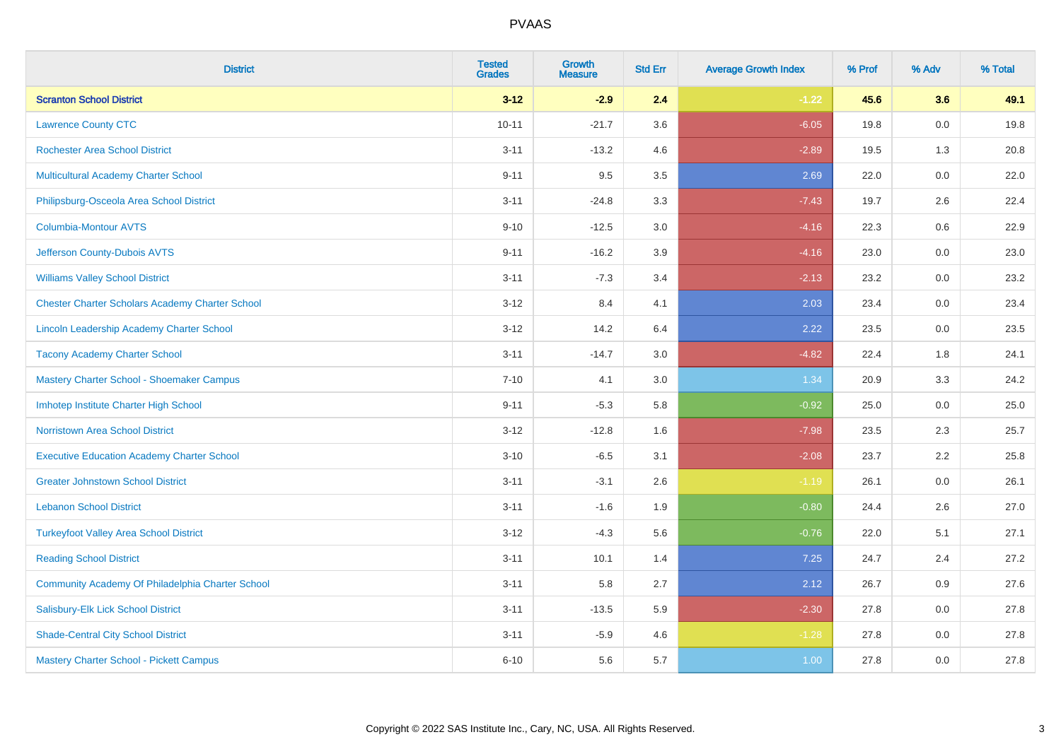| <b>District</b>                                        | <b>Tested</b><br><b>Grades</b> | <b>Growth</b><br><b>Measure</b> | <b>Std Err</b> | <b>Average Growth Index</b> | % Prof | % Adv   | % Total |
|--------------------------------------------------------|--------------------------------|---------------------------------|----------------|-----------------------------|--------|---------|---------|
| <b>Scranton School District</b>                        | $3 - 12$                       | $-2.9$                          | 2.4            | $-1.22$                     | 45.6   | 3.6     | 49.1    |
| <b>Lawrence County CTC</b>                             | $10 - 11$                      | $-21.7$                         | 3.6            | $-6.05$                     | 19.8   | $0.0\,$ | 19.8    |
| <b>Rochester Area School District</b>                  | $3 - 11$                       | $-13.2$                         | 4.6            | $-2.89$                     | 19.5   | 1.3     | 20.8    |
| Multicultural Academy Charter School                   | $9 - 11$                       | 9.5                             | 3.5            | 2.69                        | 22.0   | 0.0     | 22.0    |
| Philipsburg-Osceola Area School District               | $3 - 11$                       | $-24.8$                         | 3.3            | $-7.43$                     | 19.7   | 2.6     | 22.4    |
| <b>Columbia-Montour AVTS</b>                           | $9 - 10$                       | $-12.5$                         | 3.0            | $-4.16$                     | 22.3   | 0.6     | 22.9    |
| Jefferson County-Dubois AVTS                           | $9 - 11$                       | $-16.2$                         | 3.9            | $-4.16$                     | 23.0   | 0.0     | 23.0    |
| <b>Williams Valley School District</b>                 | $3 - 11$                       | $-7.3$                          | 3.4            | $-2.13$                     | 23.2   | 0.0     | 23.2    |
| <b>Chester Charter Scholars Academy Charter School</b> | $3 - 12$                       | 8.4                             | 4.1            | 2.03                        | 23.4   | 0.0     | 23.4    |
| Lincoln Leadership Academy Charter School              | $3 - 12$                       | 14.2                            | 6.4            | 2.22                        | 23.5   | 0.0     | 23.5    |
| <b>Tacony Academy Charter School</b>                   | $3 - 11$                       | $-14.7$                         | 3.0            | $-4.82$                     | 22.4   | 1.8     | 24.1    |
| Mastery Charter School - Shoemaker Campus              | $7 - 10$                       | 4.1                             | 3.0            | 1.34                        | 20.9   | 3.3     | 24.2    |
| Imhotep Institute Charter High School                  | $9 - 11$                       | $-5.3$                          | 5.8            | $-0.92$                     | 25.0   | $0.0\,$ | 25.0    |
| <b>Norristown Area School District</b>                 | $3 - 12$                       | $-12.8$                         | 1.6            | $-7.98$                     | 23.5   | 2.3     | 25.7    |
| <b>Executive Education Academy Charter School</b>      | $3 - 10$                       | $-6.5$                          | 3.1            | $-2.08$                     | 23.7   | 2.2     | 25.8    |
| <b>Greater Johnstown School District</b>               | $3 - 11$                       | $-3.1$                          | 2.6            | $-1.19$                     | 26.1   | $0.0\,$ | 26.1    |
| <b>Lebanon School District</b>                         | $3 - 11$                       | $-1.6$                          | 1.9            | $-0.80$                     | 24.4   | 2.6     | 27.0    |
| <b>Turkeyfoot Valley Area School District</b>          | $3 - 12$                       | $-4.3$                          | 5.6            | $-0.76$                     | 22.0   | 5.1     | 27.1    |
| <b>Reading School District</b>                         | $3 - 11$                       | 10.1                            | 1.4            | 7.25                        | 24.7   | 2.4     | 27.2    |
| Community Academy Of Philadelphia Charter School       | $3 - 11$                       | 5.8                             | 2.7            | 2.12                        | 26.7   | 0.9     | 27.6    |
| Salisbury-Elk Lick School District                     | $3 - 11$                       | $-13.5$                         | 5.9            | $-2.30$                     | 27.8   | 0.0     | 27.8    |
| <b>Shade-Central City School District</b>              | $3 - 11$                       | $-5.9$                          | 4.6            | $-1.28$                     | 27.8   | 0.0     | 27.8    |
| Mastery Charter School - Pickett Campus                | $6 - 10$                       | 5.6                             | 5.7            | 1.00                        | 27.8   | 0.0     | 27.8    |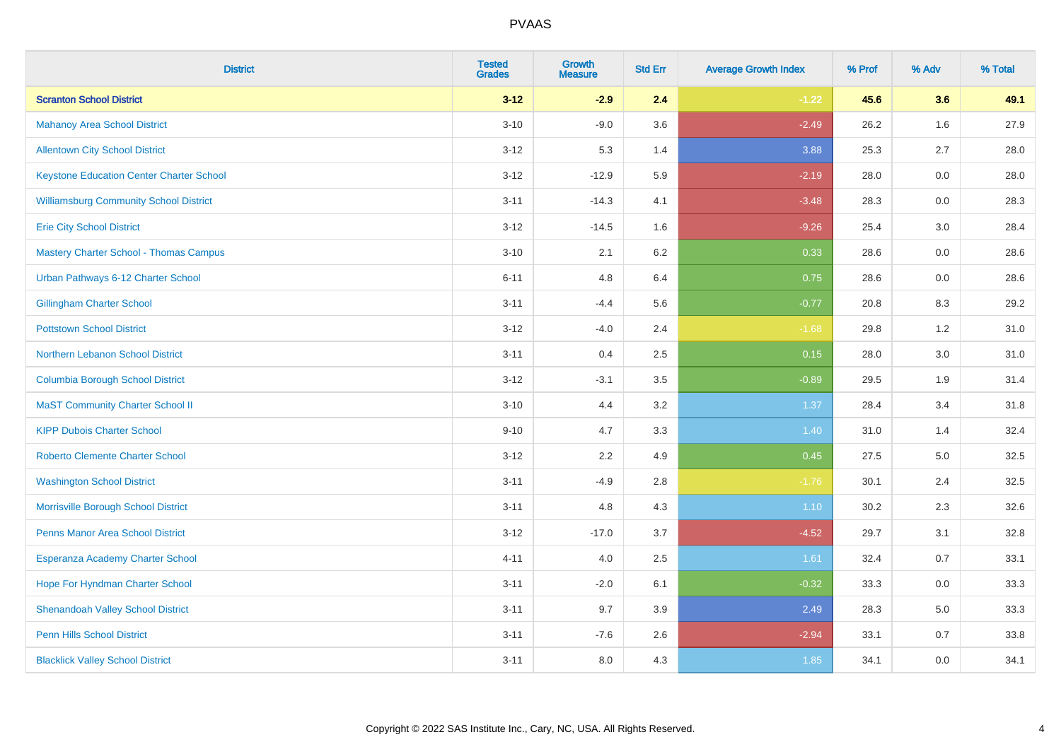| <b>District</b>                                 | <b>Tested</b><br><b>Grades</b> | <b>Growth</b><br><b>Measure</b> | <b>Std Err</b> | <b>Average Growth Index</b> | % Prof | % Adv | % Total |
|-------------------------------------------------|--------------------------------|---------------------------------|----------------|-----------------------------|--------|-------|---------|
| <b>Scranton School District</b>                 | $3 - 12$                       | $-2.9$                          | 2.4            | $-1.22$                     | 45.6   | 3.6   | 49.1    |
| <b>Mahanoy Area School District</b>             | $3 - 10$                       | $-9.0$                          | 3.6            | $-2.49$                     | 26.2   | 1.6   | 27.9    |
| <b>Allentown City School District</b>           | $3 - 12$                       | 5.3                             | 1.4            | 3.88                        | 25.3   | 2.7   | 28.0    |
| <b>Keystone Education Center Charter School</b> | $3 - 12$                       | $-12.9$                         | 5.9            | $-2.19$                     | 28.0   | 0.0   | 28.0    |
| <b>Williamsburg Community School District</b>   | $3 - 11$                       | $-14.3$                         | 4.1            | $-3.48$                     | 28.3   | 0.0   | 28.3    |
| <b>Erie City School District</b>                | $3 - 12$                       | $-14.5$                         | 1.6            | $-9.26$                     | 25.4   | 3.0   | 28.4    |
| <b>Mastery Charter School - Thomas Campus</b>   | $3 - 10$                       | 2.1                             | 6.2            | 0.33                        | 28.6   | 0.0   | 28.6    |
| Urban Pathways 6-12 Charter School              | $6 - 11$                       | 4.8                             | 6.4            | 0.75                        | 28.6   | 0.0   | 28.6    |
| <b>Gillingham Charter School</b>                | $3 - 11$                       | $-4.4$                          | 5.6            | $-0.77$                     | 20.8   | 8.3   | 29.2    |
| <b>Pottstown School District</b>                | $3 - 12$                       | $-4.0$                          | 2.4            | $-1.68$                     | 29.8   | 1.2   | 31.0    |
| Northern Lebanon School District                | $3 - 11$                       | 0.4                             | 2.5            | 0.15                        | 28.0   | 3.0   | 31.0    |
| <b>Columbia Borough School District</b>         | $3 - 12$                       | $-3.1$                          | 3.5            | $-0.89$                     | 29.5   | 1.9   | 31.4    |
| <b>MaST Community Charter School II</b>         | $3 - 10$                       | 4.4                             | 3.2            | 1.37                        | 28.4   | 3.4   | 31.8    |
| <b>KIPP Dubois Charter School</b>               | $9 - 10$                       | 4.7                             | 3.3            | 1.40                        | 31.0   | 1.4   | 32.4    |
| <b>Roberto Clemente Charter School</b>          | $3 - 12$                       | 2.2                             | 4.9            | 0.45                        | 27.5   | 5.0   | 32.5    |
| <b>Washington School District</b>               | $3 - 11$                       | $-4.9$                          | 2.8            | $-1.76$                     | 30.1   | 2.4   | 32.5    |
| Morrisville Borough School District             | $3 - 11$                       | 4.8                             | 4.3            | $1.10$                      | 30.2   | 2.3   | 32.6    |
| Penns Manor Area School District                | $3 - 12$                       | $-17.0$                         | 3.7            | $-4.52$                     | 29.7   | 3.1   | 32.8    |
| Esperanza Academy Charter School                | $4 - 11$                       | 4.0                             | 2.5            | 1.61                        | 32.4   | 0.7   | 33.1    |
| Hope For Hyndman Charter School                 | $3 - 11$                       | $-2.0$                          | 6.1            | $-0.32$                     | 33.3   | 0.0   | 33.3    |
| <b>Shenandoah Valley School District</b>        | $3 - 11$                       | 9.7                             | 3.9            | 2.49                        | 28.3   | 5.0   | 33.3    |
| <b>Penn Hills School District</b>               | $3 - 11$                       | $-7.6$                          | 2.6            | $-2.94$                     | 33.1   | 0.7   | 33.8    |
| <b>Blacklick Valley School District</b>         | $3 - 11$                       | 8.0                             | 4.3            | 1.85                        | 34.1   | 0.0   | 34.1    |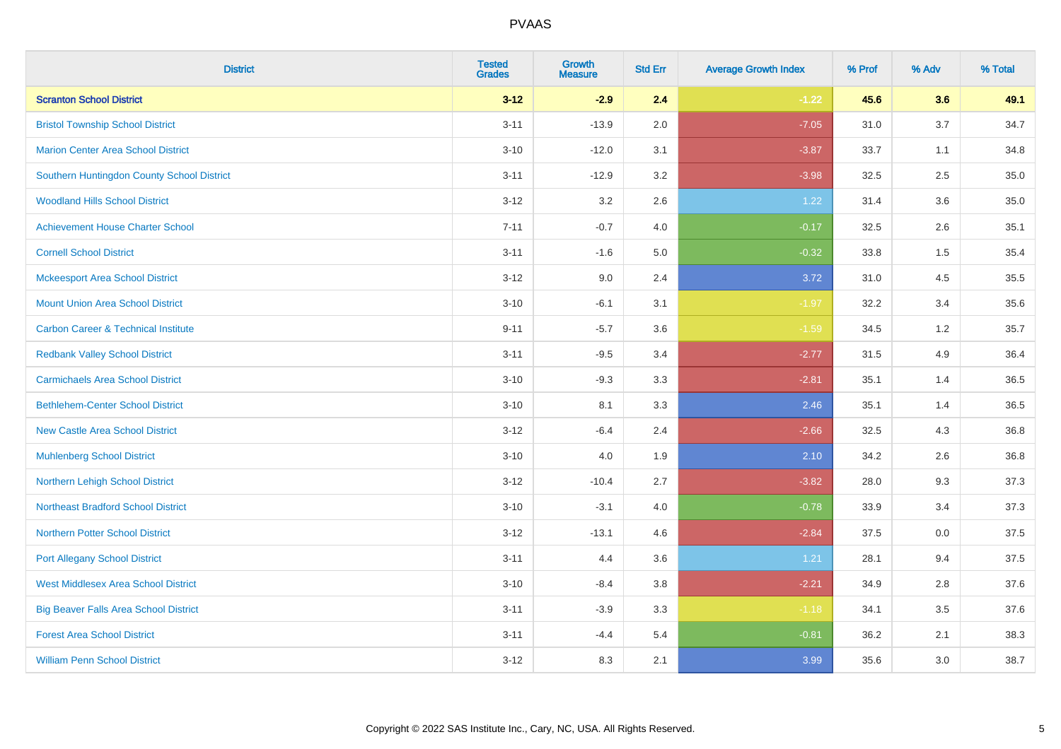| <b>District</b>                                | <b>Tested</b><br><b>Grades</b> | <b>Growth</b><br><b>Measure</b> | <b>Std Err</b> | <b>Average Growth Index</b> | % Prof | % Adv | % Total |
|------------------------------------------------|--------------------------------|---------------------------------|----------------|-----------------------------|--------|-------|---------|
| <b>Scranton School District</b>                | $3 - 12$                       | $-2.9$                          | 2.4            | $-1.22$                     | 45.6   | 3.6   | 49.1    |
| <b>Bristol Township School District</b>        | $3 - 11$                       | $-13.9$                         | 2.0            | $-7.05$                     | 31.0   | 3.7   | 34.7    |
| <b>Marion Center Area School District</b>      | $3 - 10$                       | $-12.0$                         | 3.1            | $-3.87$                     | 33.7   | 1.1   | 34.8    |
| Southern Huntingdon County School District     | $3 - 11$                       | $-12.9$                         | 3.2            | $-3.98$                     | 32.5   | 2.5   | 35.0    |
| <b>Woodland Hills School District</b>          | $3 - 12$                       | 3.2                             | 2.6            | 1.22                        | 31.4   | 3.6   | 35.0    |
| <b>Achievement House Charter School</b>        | $7 - 11$                       | $-0.7$                          | 4.0            | $-0.17$                     | 32.5   | 2.6   | 35.1    |
| <b>Cornell School District</b>                 | $3 - 11$                       | $-1.6$                          | 5.0            | $-0.32$                     | 33.8   | 1.5   | 35.4    |
| <b>Mckeesport Area School District</b>         | $3 - 12$                       | 9.0                             | 2.4            | 3.72                        | 31.0   | 4.5   | 35.5    |
| <b>Mount Union Area School District</b>        | $3 - 10$                       | $-6.1$                          | 3.1            | $-1.97$                     | 32.2   | 3.4   | 35.6    |
| <b>Carbon Career &amp; Technical Institute</b> | $9 - 11$                       | $-5.7$                          | 3.6            | $-1.59$                     | 34.5   | 1.2   | 35.7    |
| <b>Redbank Valley School District</b>          | $3 - 11$                       | $-9.5$                          | 3.4            | $-2.77$                     | 31.5   | 4.9   | 36.4    |
| <b>Carmichaels Area School District</b>        | $3 - 10$                       | $-9.3$                          | 3.3            | $-2.81$                     | 35.1   | 1.4   | 36.5    |
| <b>Bethlehem-Center School District</b>        | $3 - 10$                       | 8.1                             | 3.3            | 2.46                        | 35.1   | 1.4   | 36.5    |
| <b>New Castle Area School District</b>         | $3 - 12$                       | $-6.4$                          | 2.4            | $-2.66$                     | 32.5   | 4.3   | 36.8    |
| <b>Muhlenberg School District</b>              | $3 - 10$                       | 4.0                             | 1.9            | 2.10                        | 34.2   | 2.6   | 36.8    |
| Northern Lehigh School District                | $3 - 12$                       | $-10.4$                         | 2.7            | $-3.82$                     | 28.0   | 9.3   | 37.3    |
| <b>Northeast Bradford School District</b>      | $3 - 10$                       | $-3.1$                          | 4.0            | $-0.78$                     | 33.9   | 3.4   | 37.3    |
| <b>Northern Potter School District</b>         | $3 - 12$                       | $-13.1$                         | 4.6            | $-2.84$                     | 37.5   | 0.0   | 37.5    |
| <b>Port Allegany School District</b>           | $3 - 11$                       | 4.4                             | 3.6            | 1.21                        | 28.1   | 9.4   | 37.5    |
| <b>West Middlesex Area School District</b>     | $3 - 10$                       | $-8.4$                          | $3.8\,$        | $-2.21$                     | 34.9   | 2.8   | 37.6    |
| <b>Big Beaver Falls Area School District</b>   | $3 - 11$                       | $-3.9$                          | 3.3            | $-1.18$                     | 34.1   | 3.5   | 37.6    |
| <b>Forest Area School District</b>             | $3 - 11$                       | $-4.4$                          | 5.4            | $-0.81$                     | 36.2   | 2.1   | 38.3    |
| <b>William Penn School District</b>            | $3 - 12$                       | 8.3                             | 2.1            | 3.99                        | 35.6   | 3.0   | 38.7    |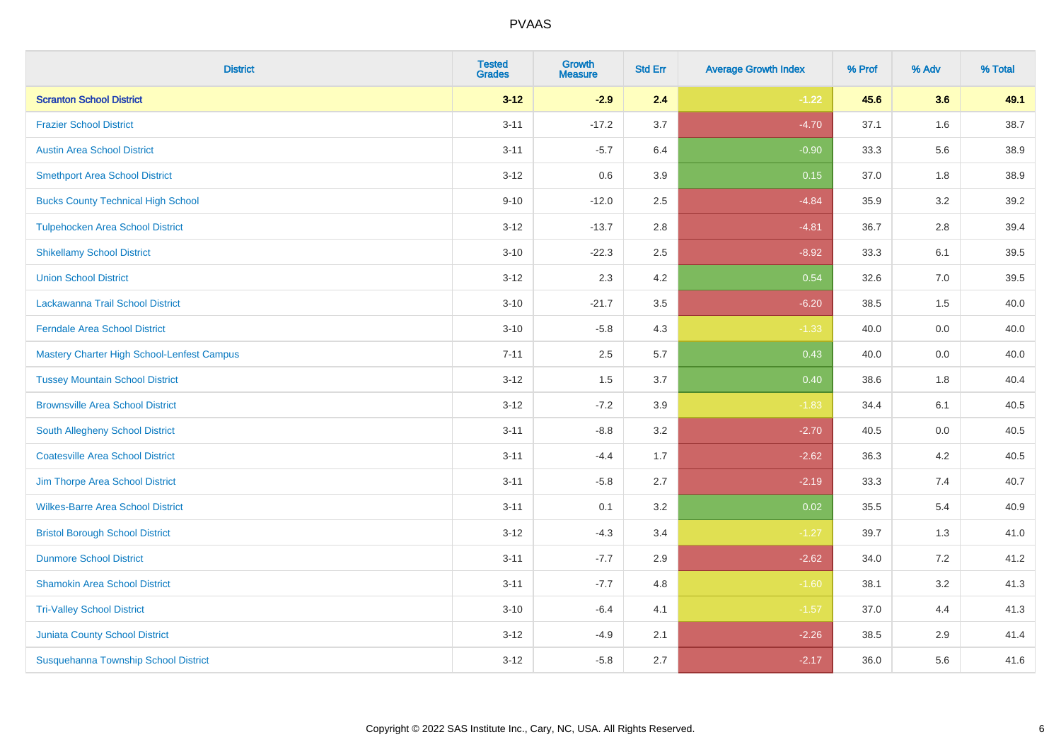| <b>District</b>                            | <b>Tested</b><br><b>Grades</b> | <b>Growth</b><br><b>Measure</b> | <b>Std Err</b> | <b>Average Growth Index</b> | % Prof | % Adv   | % Total |
|--------------------------------------------|--------------------------------|---------------------------------|----------------|-----------------------------|--------|---------|---------|
| <b>Scranton School District</b>            | $3 - 12$                       | $-2.9$                          | 2.4            | $-1.22$                     | 45.6   | 3.6     | 49.1    |
| <b>Frazier School District</b>             | $3 - 11$                       | $-17.2$                         | 3.7            | $-4.70$                     | 37.1   | $1.6\,$ | 38.7    |
| <b>Austin Area School District</b>         | $3 - 11$                       | $-5.7$                          | 6.4            | $-0.90$                     | 33.3   | 5.6     | 38.9    |
| <b>Smethport Area School District</b>      | $3 - 12$                       | 0.6                             | 3.9            | 0.15                        | 37.0   | 1.8     | 38.9    |
| <b>Bucks County Technical High School</b>  | $9 - 10$                       | $-12.0$                         | 2.5            | $-4.84$                     | 35.9   | 3.2     | 39.2    |
| <b>Tulpehocken Area School District</b>    | $3 - 12$                       | $-13.7$                         | 2.8            | $-4.81$                     | 36.7   | 2.8     | 39.4    |
| <b>Shikellamy School District</b>          | $3 - 10$                       | $-22.3$                         | 2.5            | $-8.92$                     | 33.3   | 6.1     | 39.5    |
| <b>Union School District</b>               | $3 - 12$                       | 2.3                             | 4.2            | 0.54                        | 32.6   | 7.0     | 39.5    |
| Lackawanna Trail School District           | $3 - 10$                       | $-21.7$                         | 3.5            | $-6.20$                     | 38.5   | 1.5     | 40.0    |
| <b>Ferndale Area School District</b>       | $3 - 10$                       | $-5.8$                          | 4.3            | $-1.33$                     | 40.0   | 0.0     | 40.0    |
| Mastery Charter High School-Lenfest Campus | $7 - 11$                       | 2.5                             | 5.7            | 0.43                        | 40.0   | 0.0     | 40.0    |
| <b>Tussey Mountain School District</b>     | $3 - 12$                       | 1.5                             | 3.7            | 0.40                        | 38.6   | 1.8     | 40.4    |
| <b>Brownsville Area School District</b>    | $3 - 12$                       | $-7.2$                          | 3.9            | $-1.83$                     | 34.4   | 6.1     | 40.5    |
| South Allegheny School District            | $3 - 11$                       | $-8.8$                          | 3.2            | $-2.70$                     | 40.5   | 0.0     | 40.5    |
| <b>Coatesville Area School District</b>    | $3 - 11$                       | $-4.4$                          | 1.7            | $-2.62$                     | 36.3   | 4.2     | 40.5    |
| Jim Thorpe Area School District            | $3 - 11$                       | $-5.8$                          | 2.7            | $-2.19$                     | 33.3   | 7.4     | 40.7    |
| <b>Wilkes-Barre Area School District</b>   | $3 - 11$                       | 0.1                             | 3.2            | 0.02                        | 35.5   | 5.4     | 40.9    |
| <b>Bristol Borough School District</b>     | $3 - 12$                       | $-4.3$                          | 3.4            | $-1.27$                     | 39.7   | 1.3     | 41.0    |
| <b>Dunmore School District</b>             | $3 - 11$                       | $-7.7$                          | 2.9            | $-2.62$                     | 34.0   | 7.2     | 41.2    |
| <b>Shamokin Area School District</b>       | $3 - 11$                       | $-7.7$                          | 4.8            | $-1.60$                     | 38.1   | 3.2     | 41.3    |
| <b>Tri-Valley School District</b>          | $3 - 10$                       | $-6.4$                          | 4.1            | $-1.57$                     | 37.0   | 4.4     | 41.3    |
| <b>Juniata County School District</b>      | $3 - 12$                       | $-4.9$                          | 2.1            | $-2.26$                     | 38.5   | 2.9     | 41.4    |
| Susquehanna Township School District       | $3 - 12$                       | $-5.8$                          | 2.7            | $-2.17$                     | 36.0   | 5.6     | 41.6    |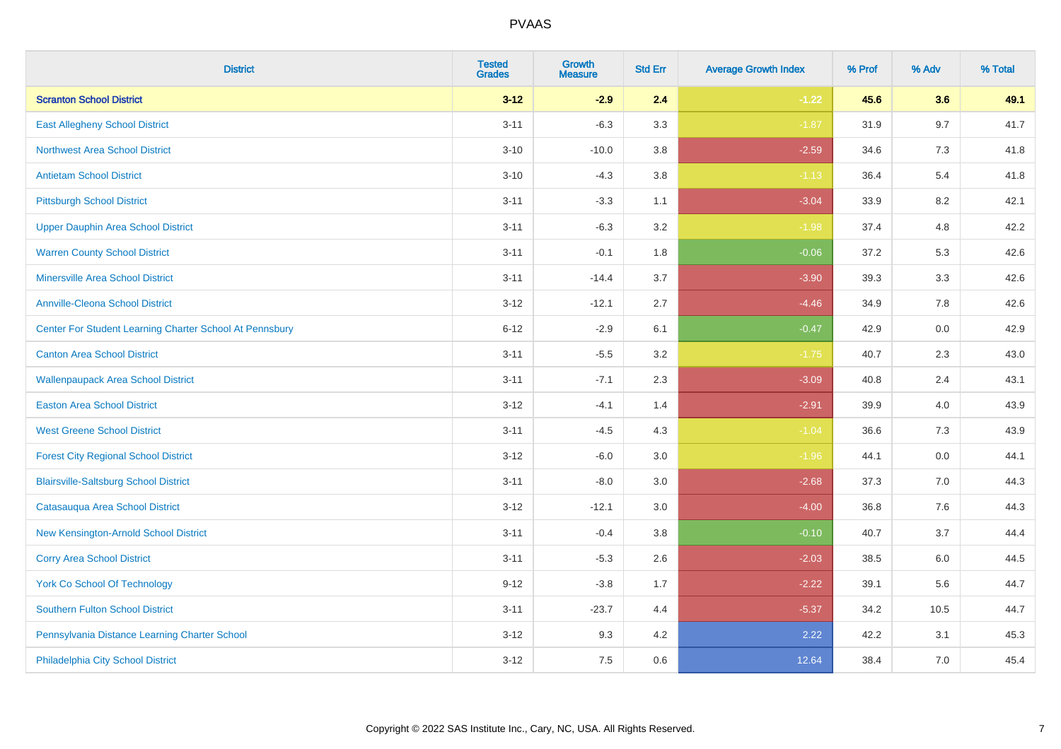| <b>District</b>                                         | <b>Tested</b><br><b>Grades</b> | <b>Growth</b><br><b>Measure</b> | <b>Std Err</b> | <b>Average Growth Index</b> | % Prof | % Adv   | % Total |
|---------------------------------------------------------|--------------------------------|---------------------------------|----------------|-----------------------------|--------|---------|---------|
| <b>Scranton School District</b>                         | $3 - 12$                       | $-2.9$                          | 2.4            | $-1.22$                     | 45.6   | 3.6     | 49.1    |
| <b>East Allegheny School District</b>                   | $3 - 11$                       | $-6.3$                          | 3.3            | $-1.87$                     | 31.9   | 9.7     | 41.7    |
| <b>Northwest Area School District</b>                   | $3 - 10$                       | $-10.0$                         | 3.8            | $-2.59$                     | 34.6   | 7.3     | 41.8    |
| <b>Antietam School District</b>                         | $3 - 10$                       | $-4.3$                          | $3.8\,$        | $-1.13$                     | 36.4   | 5.4     | 41.8    |
| <b>Pittsburgh School District</b>                       | $3 - 11$                       | $-3.3$                          | 1.1            | $-3.04$                     | 33.9   | 8.2     | 42.1    |
| <b>Upper Dauphin Area School District</b>               | $3 - 11$                       | $-6.3$                          | 3.2            | $-1.98$                     | 37.4   | 4.8     | 42.2    |
| <b>Warren County School District</b>                    | $3 - 11$                       | $-0.1$                          | 1.8            | $-0.06$                     | 37.2   | 5.3     | 42.6    |
| <b>Minersville Area School District</b>                 | $3 - 11$                       | $-14.4$                         | 3.7            | $-3.90$                     | 39.3   | 3.3     | 42.6    |
| Annville-Cleona School District                         | $3 - 12$                       | $-12.1$                         | 2.7            | $-4.46$                     | 34.9   | 7.8     | 42.6    |
| Center For Student Learning Charter School At Pennsbury | $6 - 12$                       | $-2.9$                          | 6.1            | $-0.47$                     | 42.9   | 0.0     | 42.9    |
| <b>Canton Area School District</b>                      | $3 - 11$                       | $-5.5$                          | 3.2            | $-1.75$                     | 40.7   | 2.3     | 43.0    |
| <b>Wallenpaupack Area School District</b>               | $3 - 11$                       | $-7.1$                          | 2.3            | $-3.09$                     | 40.8   | 2.4     | 43.1    |
| <b>Easton Area School District</b>                      | $3 - 12$                       | $-4.1$                          | 1.4            | $-2.91$                     | 39.9   | 4.0     | 43.9    |
| <b>West Greene School District</b>                      | $3 - 11$                       | $-4.5$                          | 4.3            | $-1.04$                     | 36.6   | 7.3     | 43.9    |
| <b>Forest City Regional School District</b>             | $3 - 12$                       | $-6.0$                          | 3.0            | $-1.96$                     | 44.1   | 0.0     | 44.1    |
| <b>Blairsville-Saltsburg School District</b>            | $3 - 11$                       | $-8.0$                          | 3.0            | $-2.68$                     | 37.3   | $7.0\,$ | 44.3    |
| Catasauqua Area School District                         | $3 - 12$                       | $-12.1$                         | 3.0            | $-4.00$                     | 36.8   | 7.6     | 44.3    |
| New Kensington-Arnold School District                   | $3 - 11$                       | $-0.4$                          | 3.8            | $-0.10$                     | 40.7   | 3.7     | 44.4    |
| <b>Corry Area School District</b>                       | $3 - 11$                       | $-5.3$                          | 2.6            | $-2.03$                     | 38.5   | 6.0     | 44.5    |
| York Co School Of Technology                            | $9 - 12$                       | $-3.8$                          | 1.7            | $-2.22$                     | 39.1   | 5.6     | 44.7    |
| Southern Fulton School District                         | $3 - 11$                       | $-23.7$                         | 4.4            | $-5.37$                     | 34.2   | 10.5    | 44.7    |
| Pennsylvania Distance Learning Charter School           | $3 - 12$                       | 9.3                             | 4.2            | 2.22                        | 42.2   | 3.1     | 45.3    |
| Philadelphia City School District                       | $3 - 12$                       | 7.5                             | 0.6            | 12.64                       | 38.4   | 7.0     | 45.4    |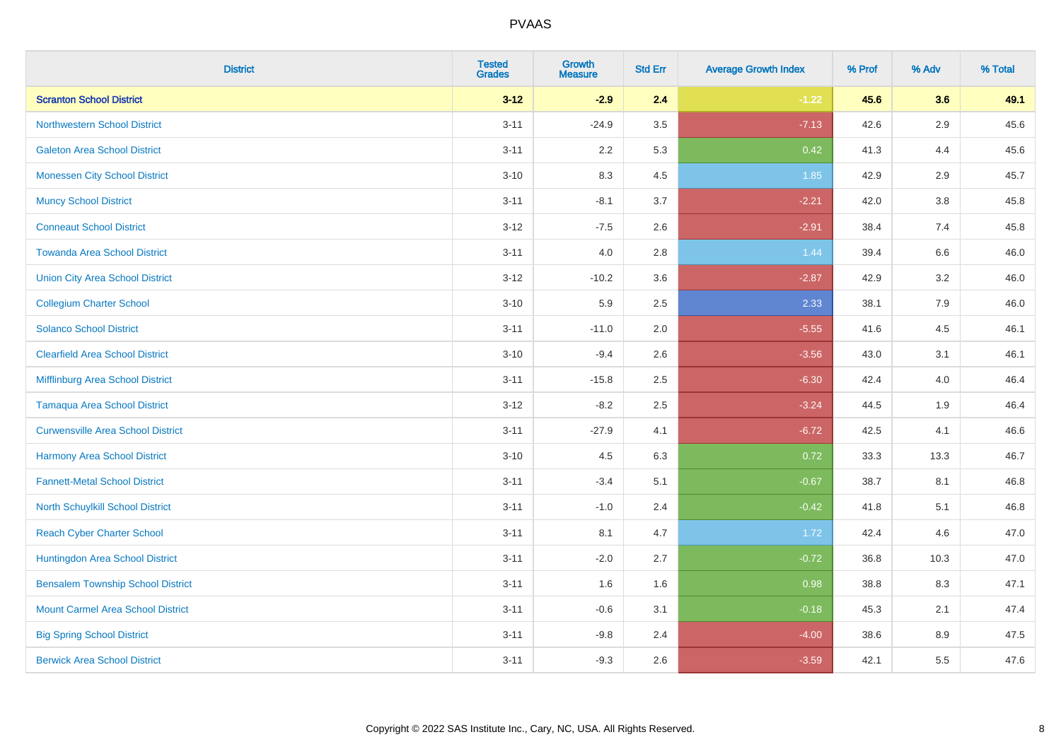| <b>District</b>                          | <b>Tested</b><br><b>Grades</b> | <b>Growth</b><br><b>Measure</b> | <b>Std Err</b> | <b>Average Growth Index</b> | % Prof | % Adv   | % Total |
|------------------------------------------|--------------------------------|---------------------------------|----------------|-----------------------------|--------|---------|---------|
| <b>Scranton School District</b>          | $3 - 12$                       | $-2.9$                          | 2.4            | $-1.22$                     | 45.6   | 3.6     | 49.1    |
| <b>Northwestern School District</b>      | $3 - 11$                       | $-24.9$                         | 3.5            | $-7.13$                     | 42.6   | $2.9\,$ | 45.6    |
| <b>Galeton Area School District</b>      | $3 - 11$                       | 2.2                             | 5.3            | 0.42                        | 41.3   | 4.4     | 45.6    |
| <b>Monessen City School District</b>     | $3 - 10$                       | 8.3                             | 4.5            | 1.85                        | 42.9   | 2.9     | 45.7    |
| <b>Muncy School District</b>             | $3 - 11$                       | $-8.1$                          | 3.7            | $-2.21$                     | 42.0   | 3.8     | 45.8    |
| <b>Conneaut School District</b>          | $3 - 12$                       | $-7.5$                          | 2.6            | $-2.91$                     | 38.4   | 7.4     | 45.8    |
| <b>Towanda Area School District</b>      | $3 - 11$                       | 4.0                             | 2.8            | 1.44                        | 39.4   | 6.6     | 46.0    |
| <b>Union City Area School District</b>   | $3-12$                         | $-10.2$                         | 3.6            | $-2.87$                     | 42.9   | 3.2     | 46.0    |
| <b>Collegium Charter School</b>          | $3 - 10$                       | 5.9                             | 2.5            | 2.33                        | 38.1   | 7.9     | 46.0    |
| <b>Solanco School District</b>           | $3 - 11$                       | $-11.0$                         | 2.0            | $-5.55$                     | 41.6   | 4.5     | 46.1    |
| <b>Clearfield Area School District</b>   | $3 - 10$                       | $-9.4$                          | 2.6            | $-3.56$                     | 43.0   | 3.1     | 46.1    |
| Mifflinburg Area School District         | $3 - 11$                       | $-15.8$                         | 2.5            | $-6.30$                     | 42.4   | 4.0     | 46.4    |
| <b>Tamaqua Area School District</b>      | $3 - 12$                       | $-8.2$                          | 2.5            | $-3.24$                     | 44.5   | 1.9     | 46.4    |
| <b>Curwensville Area School District</b> | $3 - 11$                       | $-27.9$                         | 4.1            | $-6.72$                     | 42.5   | 4.1     | 46.6    |
| Harmony Area School District             | $3 - 10$                       | 4.5                             | 6.3            | 0.72                        | 33.3   | 13.3    | 46.7    |
| <b>Fannett-Metal School District</b>     | $3 - 11$                       | $-3.4$                          | 5.1            | $-0.67$                     | 38.7   | 8.1     | 46.8    |
| North Schuylkill School District         | $3 - 11$                       | $-1.0$                          | 2.4            | $-0.42$                     | 41.8   | 5.1     | 46.8    |
| <b>Reach Cyber Charter School</b>        | $3 - 11$                       | 8.1                             | 4.7            | 1.72                        | 42.4   | 4.6     | 47.0    |
| Huntingdon Area School District          | $3 - 11$                       | $-2.0$                          | 2.7            | $-0.72$                     | 36.8   | 10.3    | 47.0    |
| <b>Bensalem Township School District</b> | $3 - 11$                       | 1.6                             | 1.6            | 0.98                        | 38.8   | 8.3     | 47.1    |
| <b>Mount Carmel Area School District</b> | $3 - 11$                       | $-0.6$                          | 3.1            | $-0.18$                     | 45.3   | 2.1     | 47.4    |
| <b>Big Spring School District</b>        | $3 - 11$                       | $-9.8$                          | 2.4            | $-4.00$                     | 38.6   | 8.9     | 47.5    |
| <b>Berwick Area School District</b>      | $3 - 11$                       | $-9.3$                          | 2.6            | $-3.59$                     | 42.1   | 5.5     | 47.6    |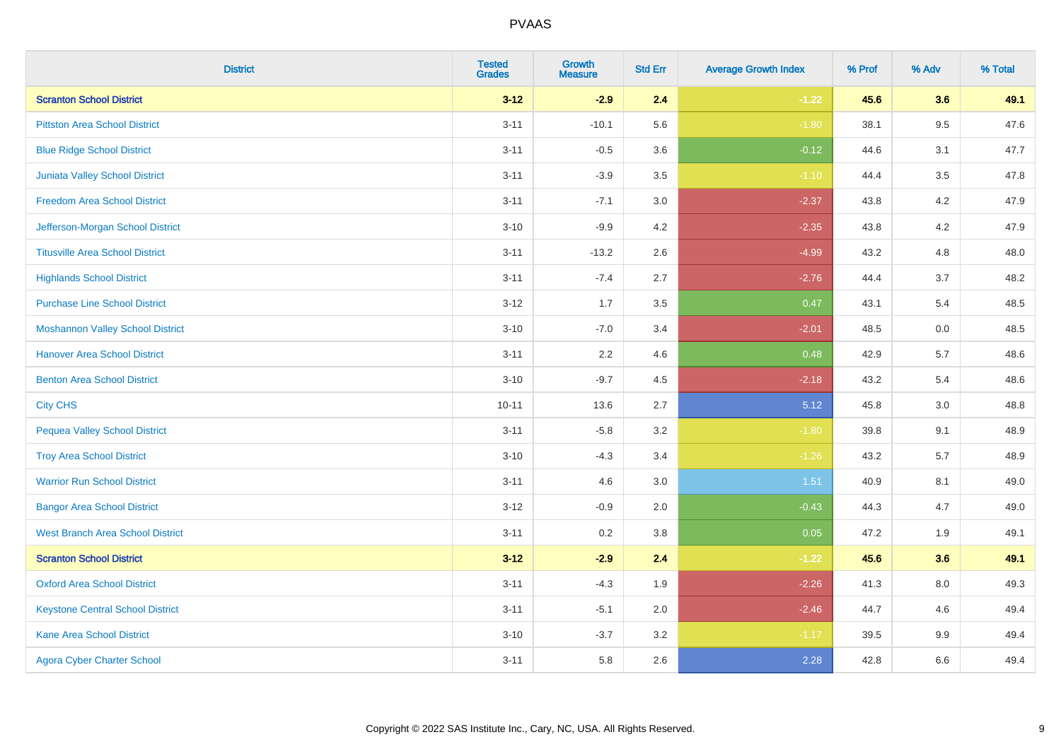| <b>District</b>                         | <b>Tested</b><br><b>Grades</b> | Growth<br><b>Measure</b> | <b>Std Err</b> | <b>Average Growth Index</b> | % Prof | % Adv   | % Total |
|-----------------------------------------|--------------------------------|--------------------------|----------------|-----------------------------|--------|---------|---------|
| <b>Scranton School District</b>         | $3 - 12$                       | $-2.9$                   | 2.4            | $-1.22$                     | 45.6   | 3.6     | 49.1    |
| <b>Pittston Area School District</b>    | $3 - 11$                       | $-10.1$                  | 5.6            | $-1.80$                     | 38.1   | 9.5     | 47.6    |
| <b>Blue Ridge School District</b>       | $3 - 11$                       | $-0.5$                   | 3.6            | $-0.12$                     | 44.6   | 3.1     | 47.7    |
| Juniata Valley School District          | $3 - 11$                       | $-3.9$                   | 3.5            | $-1.10$                     | 44.4   | $3.5\,$ | 47.8    |
| <b>Freedom Area School District</b>     | $3 - 11$                       | $-7.1$                   | 3.0            | $-2.37$                     | 43.8   | 4.2     | 47.9    |
| Jefferson-Morgan School District        | $3 - 10$                       | $-9.9$                   | 4.2            | $-2.35$                     | 43.8   | 4.2     | 47.9    |
| <b>Titusville Area School District</b>  | $3 - 11$                       | $-13.2$                  | 2.6            | $-4.99$                     | 43.2   | 4.8     | 48.0    |
| <b>Highlands School District</b>        | $3 - 11$                       | $-7.4$                   | 2.7            | $-2.76$                     | 44.4   | 3.7     | 48.2    |
| <b>Purchase Line School District</b>    | $3 - 12$                       | 1.7                      | 3.5            | 0.47                        | 43.1   | 5.4     | 48.5    |
| <b>Moshannon Valley School District</b> | $3 - 10$                       | $-7.0$                   | 3.4            | $-2.01$                     | 48.5   | 0.0     | 48.5    |
| <b>Hanover Area School District</b>     | $3 - 11$                       | 2.2                      | 4.6            | 0.48                        | 42.9   | 5.7     | 48.6    |
| <b>Benton Area School District</b>      | $3 - 10$                       | $-9.7$                   | 4.5            | $-2.18$                     | 43.2   | 5.4     | 48.6    |
| <b>City CHS</b>                         | $10 - 11$                      | 13.6                     | 2.7            | 5.12                        | 45.8   | 3.0     | 48.8    |
| <b>Pequea Valley School District</b>    | $3 - 11$                       | $-5.8$                   | 3.2            | $-1.80$                     | 39.8   | 9.1     | 48.9    |
| <b>Troy Area School District</b>        | $3 - 10$                       | $-4.3$                   | 3.4            | $-1.26$                     | 43.2   | 5.7     | 48.9    |
| <b>Warrior Run School District</b>      | $3 - 11$                       | 4.6                      | 3.0            | 1.51                        | 40.9   | 8.1     | 49.0    |
| <b>Bangor Area School District</b>      | $3 - 12$                       | $-0.9$                   | 2.0            | $-0.43$                     | 44.3   | 4.7     | 49.0    |
| <b>West Branch Area School District</b> | $3 - 11$                       | 0.2                      | 3.8            | 0.05                        | 47.2   | 1.9     | 49.1    |
| <b>Scranton School District</b>         | $3 - 12$                       | $-2.9$                   | 2.4            | $-1.22$                     | 45.6   | 3.6     | 49.1    |
| <b>Oxford Area School District</b>      | $3 - 11$                       | $-4.3$                   | 1.9            | $-2.26$                     | 41.3   | 8.0     | 49.3    |
| <b>Keystone Central School District</b> | $3 - 11$                       | $-5.1$                   | 2.0            | $-2.46$                     | 44.7   | 4.6     | 49.4    |
| Kane Area School District               | $3 - 10$                       | $-3.7$                   | 3.2            | $-1.17$                     | 39.5   | 9.9     | 49.4    |
| <b>Agora Cyber Charter School</b>       | $3 - 11$                       | 5.8                      | 2.6            | 2.28                        | 42.8   | 6.6     | 49.4    |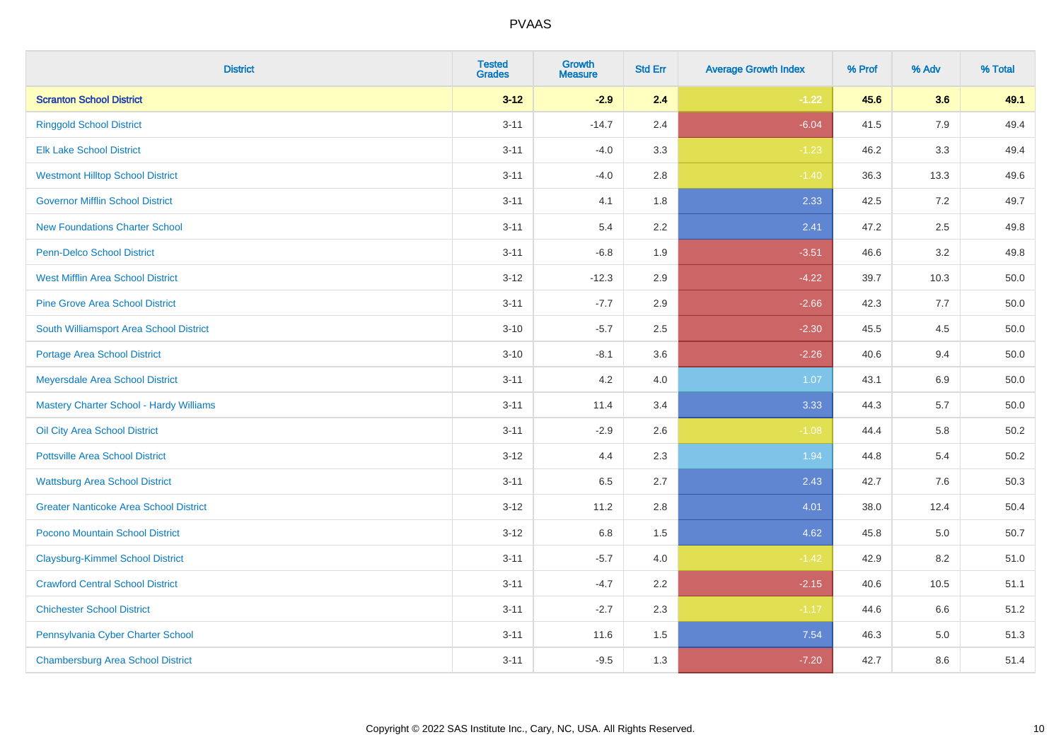| <b>District</b>                                | <b>Tested</b><br><b>Grades</b> | <b>Growth</b><br><b>Measure</b> | <b>Std Err</b> | <b>Average Growth Index</b> | % Prof | % Adv | % Total  |
|------------------------------------------------|--------------------------------|---------------------------------|----------------|-----------------------------|--------|-------|----------|
| <b>Scranton School District</b>                | $3 - 12$                       | $-2.9$                          | 2.4            | $-1.22$                     | 45.6   | 3.6   | 49.1     |
| <b>Ringgold School District</b>                | $3 - 11$                       | $-14.7$                         | 2.4            | $-6.04$                     | 41.5   | 7.9   | 49.4     |
| <b>Elk Lake School District</b>                | $3 - 11$                       | $-4.0$                          | 3.3            | $-1.23$                     | 46.2   | 3.3   | 49.4     |
| <b>Westmont Hilltop School District</b>        | $3 - 11$                       | $-4.0$                          | 2.8            | $-1.40$                     | 36.3   | 13.3  | 49.6     |
| <b>Governor Mifflin School District</b>        | $3 - 11$                       | 4.1                             | 1.8            | 2.33                        | 42.5   | 7.2   | 49.7     |
| <b>New Foundations Charter School</b>          | $3 - 11$                       | 5.4                             | 2.2            | 2.41                        | 47.2   | 2.5   | 49.8     |
| Penn-Delco School District                     | $3 - 11$                       | $-6.8$                          | 1.9            | $-3.51$                     | 46.6   | 3.2   | 49.8     |
| <b>West Mifflin Area School District</b>       | $3 - 12$                       | $-12.3$                         | 2.9            | $-4.22$                     | 39.7   | 10.3  | 50.0     |
| <b>Pine Grove Area School District</b>         | $3 - 11$                       | $-7.7$                          | 2.9            | $-2.66$                     | 42.3   | 7.7   | 50.0     |
| South Williamsport Area School District        | $3 - 10$                       | $-5.7$                          | 2.5            | $-2.30$                     | 45.5   | 4.5   | 50.0     |
| Portage Area School District                   | $3 - 10$                       | $-8.1$                          | 3.6            | $-2.26$                     | 40.6   | 9.4   | 50.0     |
| Meyersdale Area School District                | $3 - 11$                       | 4.2                             | 4.0            | 1.07                        | 43.1   | 6.9   | 50.0     |
| <b>Mastery Charter School - Hardy Williams</b> | $3 - 11$                       | 11.4                            | 3.4            | 3.33                        | 44.3   | 5.7   | $50.0\,$ |
| Oil City Area School District                  | $3 - 11$                       | $-2.9$                          | 2.6            | $-1.08$                     | 44.4   | 5.8   | 50.2     |
| <b>Pottsville Area School District</b>         | $3 - 12$                       | 4.4                             | 2.3            | 1.94                        | 44.8   | 5.4   | 50.2     |
| <b>Wattsburg Area School District</b>          | $3 - 11$                       | 6.5                             | 2.7            | 2.43                        | 42.7   | 7.6   | 50.3     |
| <b>Greater Nanticoke Area School District</b>  | $3 - 12$                       | 11.2                            | 2.8            | 4.01                        | 38.0   | 12.4  | 50.4     |
| Pocono Mountain School District                | $3 - 12$                       | 6.8                             | 1.5            | 4.62                        | 45.8   | 5.0   | 50.7     |
| <b>Claysburg-Kimmel School District</b>        | $3 - 11$                       | $-5.7$                          | 4.0            | $-1.42$                     | 42.9   | 8.2   | 51.0     |
| <b>Crawford Central School District</b>        | $3 - 11$                       | $-4.7$                          | 2.2            | $-2.15$                     | 40.6   | 10.5  | 51.1     |
| <b>Chichester School District</b>              | $3 - 11$                       | $-2.7$                          | 2.3            | $-1.17$                     | 44.6   | 6.6   | 51.2     |
| Pennsylvania Cyber Charter School              | $3 - 11$                       | 11.6                            | 1.5            | 7.54                        | 46.3   | 5.0   | 51.3     |
| <b>Chambersburg Area School District</b>       | $3 - 11$                       | $-9.5$                          | 1.3            | $-7.20$                     | 42.7   | 8.6   | 51.4     |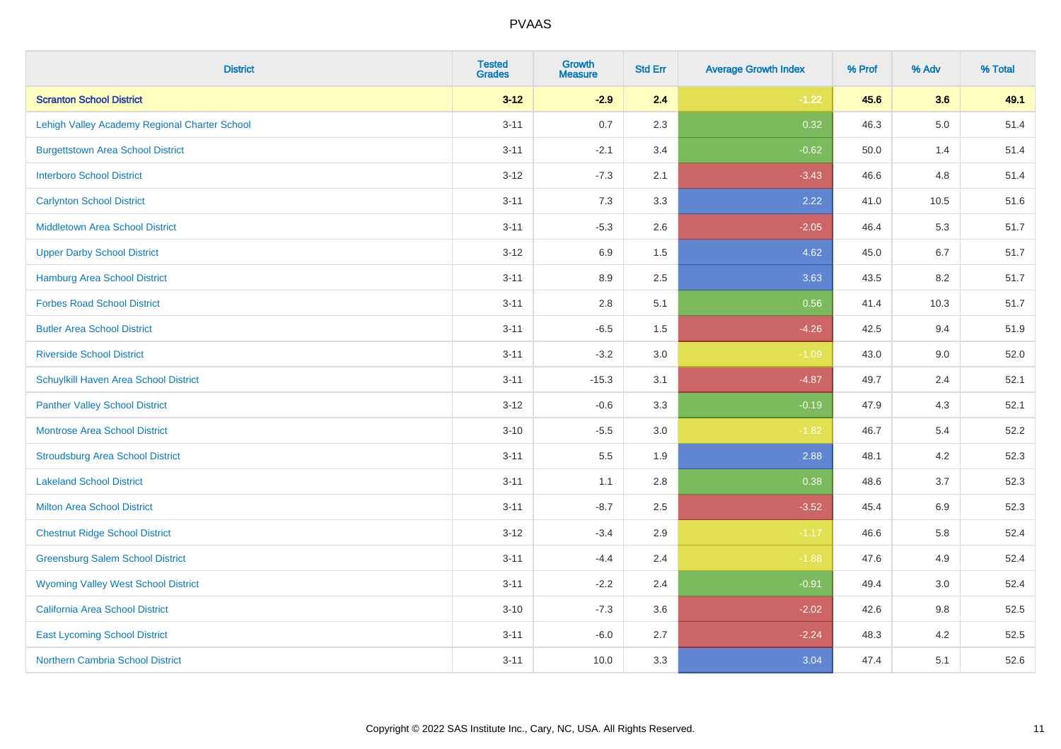| <b>District</b>                               | <b>Tested</b><br><b>Grades</b> | <b>Growth</b><br><b>Measure</b> | <b>Std Err</b> | <b>Average Growth Index</b> | % Prof | % Adv   | % Total |
|-----------------------------------------------|--------------------------------|---------------------------------|----------------|-----------------------------|--------|---------|---------|
| <b>Scranton School District</b>               | $3 - 12$                       | $-2.9$                          | 2.4            | $-1.22$                     | 45.6   | 3.6     | 49.1    |
| Lehigh Valley Academy Regional Charter School | $3 - 11$                       | 0.7                             | 2.3            | 0.32                        | 46.3   | $5.0\,$ | 51.4    |
| <b>Burgettstown Area School District</b>      | $3 - 11$                       | $-2.1$                          | 3.4            | $-0.62$                     | 50.0   | 1.4     | 51.4    |
| <b>Interboro School District</b>              | $3 - 12$                       | $-7.3$                          | 2.1            | $-3.43$                     | 46.6   | 4.8     | 51.4    |
| <b>Carlynton School District</b>              | $3 - 11$                       | 7.3                             | 3.3            | 2.22                        | 41.0   | 10.5    | 51.6    |
| <b>Middletown Area School District</b>        | $3 - 11$                       | $-5.3$                          | 2.6            | $-2.05$                     | 46.4   | 5.3     | 51.7    |
| <b>Upper Darby School District</b>            | $3 - 12$                       | 6.9                             | 1.5            | 4.62                        | 45.0   | 6.7     | 51.7    |
| <b>Hamburg Area School District</b>           | $3 - 11$                       | 8.9                             | 2.5            | 3.63                        | 43.5   | 8.2     | 51.7    |
| <b>Forbes Road School District</b>            | $3 - 11$                       | 2.8                             | 5.1            | 0.56                        | 41.4   | 10.3    | 51.7    |
| <b>Butler Area School District</b>            | $3 - 11$                       | $-6.5$                          | 1.5            | $-4.26$                     | 42.5   | 9.4     | 51.9    |
| <b>Riverside School District</b>              | $3 - 11$                       | $-3.2$                          | 3.0            | $-1.09$                     | 43.0   | 9.0     | 52.0    |
| Schuylkill Haven Area School District         | $3 - 11$                       | $-15.3$                         | 3.1            | $-4.87$                     | 49.7   | 2.4     | 52.1    |
| <b>Panther Valley School District</b>         | $3 - 12$                       | $-0.6$                          | 3.3            | $-0.19$                     | 47.9   | 4.3     | 52.1    |
| <b>Montrose Area School District</b>          | $3 - 10$                       | $-5.5$                          | 3.0            | $-1.82$                     | 46.7   | 5.4     | 52.2    |
| <b>Stroudsburg Area School District</b>       | $3 - 11$                       | $5.5\,$                         | 1.9            | 2.88                        | 48.1   | 4.2     | 52.3    |
| <b>Lakeland School District</b>               | $3 - 11$                       | 1.1                             | 2.8            | 0.38                        | 48.6   | 3.7     | 52.3    |
| <b>Milton Area School District</b>            | $3 - 11$                       | $-8.7$                          | 2.5            | $-3.52$                     | 45.4   | 6.9     | 52.3    |
| <b>Chestnut Ridge School District</b>         | $3 - 12$                       | $-3.4$                          | 2.9            | $-1.17$                     | 46.6   | 5.8     | 52.4    |
| <b>Greensburg Salem School District</b>       | $3 - 11$                       | $-4.4$                          | 2.4            | $-1.88$                     | 47.6   | 4.9     | 52.4    |
| <b>Wyoming Valley West School District</b>    | $3 - 11$                       | $-2.2$                          | 2.4            | $-0.91$                     | 49.4   | 3.0     | 52.4    |
| <b>California Area School District</b>        | $3 - 10$                       | $-7.3$                          | 3.6            | $-2.02$                     | 42.6   | 9.8     | 52.5    |
| <b>East Lycoming School District</b>          | $3 - 11$                       | $-6.0$                          | 2.7            | $-2.24$                     | 48.3   | 4.2     | 52.5    |
| <b>Northern Cambria School District</b>       | $3 - 11$                       | 10.0                            | 3.3            | 3.04                        | 47.4   | 5.1     | 52.6    |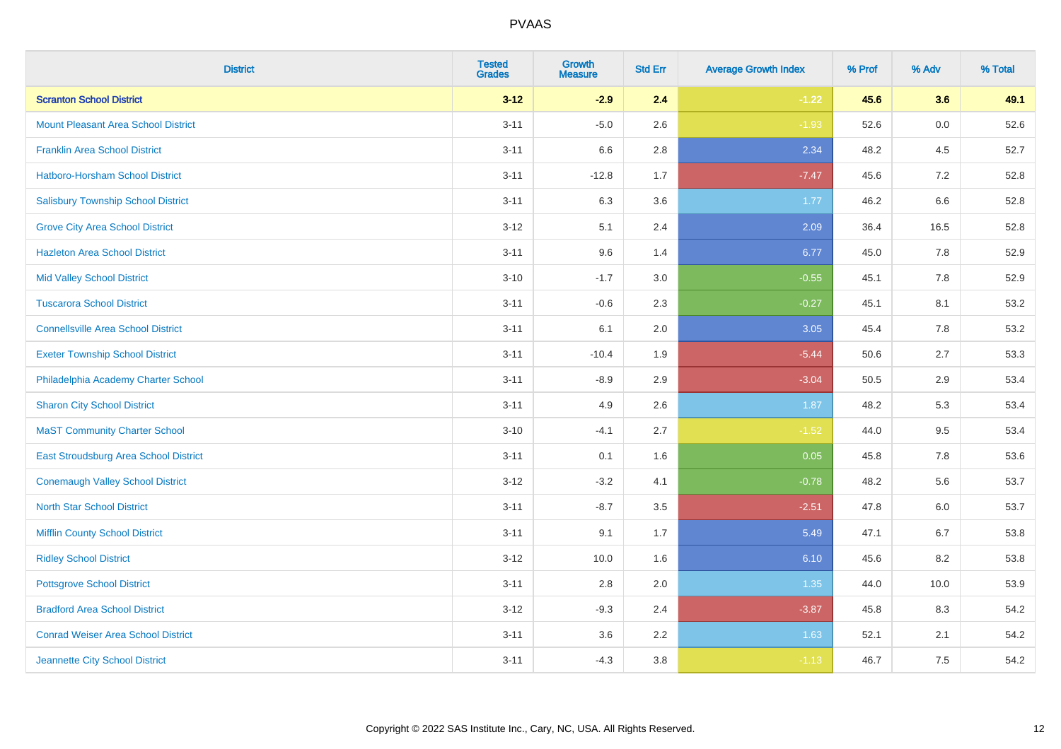| <b>District</b>                            | <b>Tested</b><br><b>Grades</b> | <b>Growth</b><br><b>Measure</b> | <b>Std Err</b> | <b>Average Growth Index</b> | % Prof | % Adv | % Total |
|--------------------------------------------|--------------------------------|---------------------------------|----------------|-----------------------------|--------|-------|---------|
| <b>Scranton School District</b>            | $3 - 12$                       | $-2.9$                          | 2.4            | $-1.22$                     | 45.6   | 3.6   | 49.1    |
| <b>Mount Pleasant Area School District</b> | $3 - 11$                       | $-5.0$                          | 2.6            | $-1.93$                     | 52.6   | 0.0   | 52.6    |
| <b>Franklin Area School District</b>       | $3 - 11$                       | 6.6                             | 2.8            | 2.34                        | 48.2   | 4.5   | 52.7    |
| Hatboro-Horsham School District            | $3 - 11$                       | $-12.8$                         | 1.7            | $-7.47$                     | 45.6   | 7.2   | 52.8    |
| <b>Salisbury Township School District</b>  | $3 - 11$                       | 6.3                             | 3.6            | 1.77                        | 46.2   | 6.6   | 52.8    |
| <b>Grove City Area School District</b>     | $3 - 12$                       | 5.1                             | 2.4            | 2.09                        | 36.4   | 16.5  | 52.8    |
| <b>Hazleton Area School District</b>       | $3 - 11$                       | 9.6                             | 1.4            | 6.77                        | 45.0   | 7.8   | 52.9    |
| <b>Mid Valley School District</b>          | $3 - 10$                       | $-1.7$                          | 3.0            | $-0.55$                     | 45.1   | 7.8   | 52.9    |
| <b>Tuscarora School District</b>           | $3 - 11$                       | $-0.6$                          | 2.3            | $-0.27$                     | 45.1   | 8.1   | 53.2    |
| <b>Connellsville Area School District</b>  | $3 - 11$                       | 6.1                             | 2.0            | 3.05                        | 45.4   | 7.8   | 53.2    |
| <b>Exeter Township School District</b>     | $3 - 11$                       | $-10.4$                         | 1.9            | $-5.44$                     | 50.6   | 2.7   | 53.3    |
| Philadelphia Academy Charter School        | $3 - 11$                       | $-8.9$                          | 2.9            | $-3.04$                     | 50.5   | 2.9   | 53.4    |
| <b>Sharon City School District</b>         | $3 - 11$                       | 4.9                             | 2.6            | 1.87                        | 48.2   | 5.3   | 53.4    |
| <b>MaST Community Charter School</b>       | $3 - 10$                       | $-4.1$                          | 2.7            | $-1.52$                     | 44.0   | 9.5   | 53.4    |
| East Stroudsburg Area School District      | $3 - 11$                       | 0.1                             | 1.6            | 0.05                        | 45.8   | 7.8   | 53.6    |
| <b>Conemaugh Valley School District</b>    | $3 - 12$                       | $-3.2$                          | 4.1            | $-0.78$                     | 48.2   | 5.6   | 53.7    |
| <b>North Star School District</b>          | $3 - 11$                       | $-8.7$                          | 3.5            | $-2.51$                     | 47.8   | 6.0   | 53.7    |
| <b>Mifflin County School District</b>      | $3 - 11$                       | 9.1                             | 1.7            | 5.49                        | 47.1   | 6.7   | 53.8    |
| <b>Ridley School District</b>              | $3 - 12$                       | 10.0                            | 1.6            | 6.10                        | 45.6   | 8.2   | 53.8    |
| <b>Pottsgrove School District</b>          | $3 - 11$                       | 2.8                             | 2.0            | 1.35                        | 44.0   | 10.0  | 53.9    |
| <b>Bradford Area School District</b>       | $3 - 12$                       | $-9.3$                          | 2.4            | $-3.87$                     | 45.8   | 8.3   | 54.2    |
| <b>Conrad Weiser Area School District</b>  | $3 - 11$                       | 3.6                             | 2.2            | 1.63                        | 52.1   | 2.1   | 54.2    |
| Jeannette City School District             | $3 - 11$                       | $-4.3$                          | 3.8            | $-1.13$                     | 46.7   | 7.5   | 54.2    |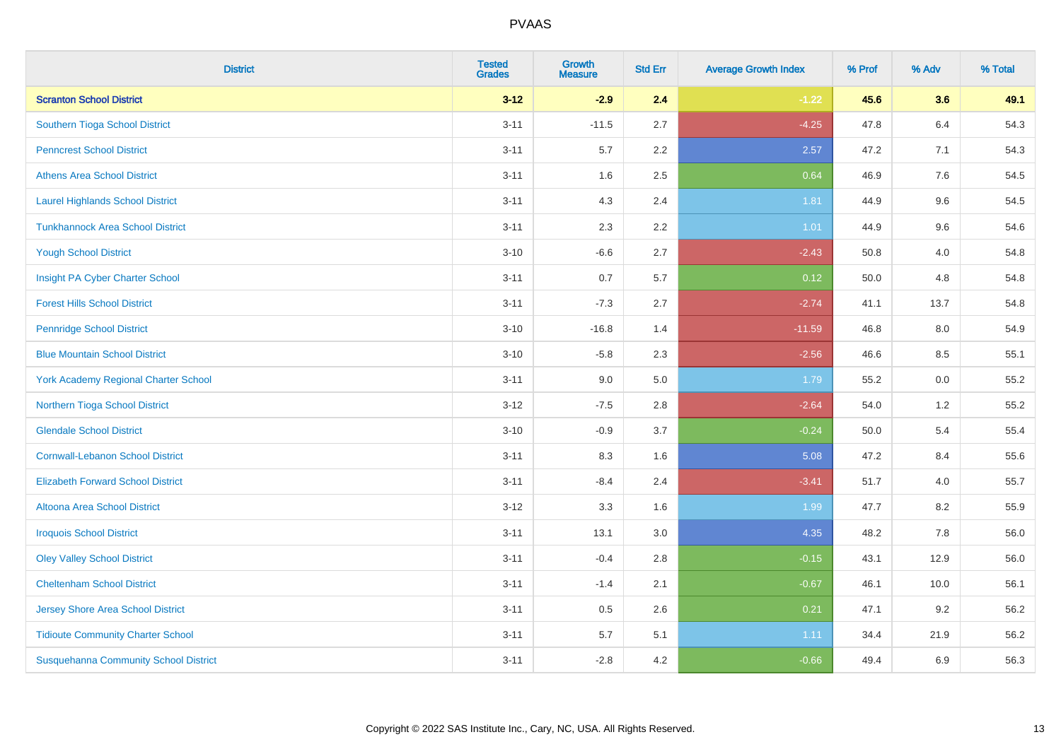| <b>District</b>                              | <b>Tested</b><br><b>Grades</b> | <b>Growth</b><br><b>Measure</b> | <b>Std Err</b> | <b>Average Growth Index</b> | % Prof | % Adv   | % Total |
|----------------------------------------------|--------------------------------|---------------------------------|----------------|-----------------------------|--------|---------|---------|
| <b>Scranton School District</b>              | $3 - 12$                       | $-2.9$                          | 2.4            | $-1.22$                     | 45.6   | 3.6     | 49.1    |
| Southern Tioga School District               | $3 - 11$                       | $-11.5$                         | 2.7            | $-4.25$                     | 47.8   | $6.4\,$ | 54.3    |
| <b>Penncrest School District</b>             | $3 - 11$                       | 5.7                             | 2.2            | 2.57                        | 47.2   | 7.1     | 54.3    |
| <b>Athens Area School District</b>           | $3 - 11$                       | 1.6                             | 2.5            | 0.64                        | 46.9   | 7.6     | 54.5    |
| <b>Laurel Highlands School District</b>      | $3 - 11$                       | 4.3                             | 2.4            | 1.81                        | 44.9   | 9.6     | 54.5    |
| <b>Tunkhannock Area School District</b>      | $3 - 11$                       | 2.3                             | 2.2            | $1.01$                      | 44.9   | 9.6     | 54.6    |
| <b>Yough School District</b>                 | $3 - 10$                       | $-6.6$                          | 2.7            | $-2.43$                     | 50.8   | 4.0     | 54.8    |
| Insight PA Cyber Charter School              | $3 - 11$                       | 0.7                             | 5.7            | 0.12                        | 50.0   | 4.8     | 54.8    |
| <b>Forest Hills School District</b>          | $3 - 11$                       | $-7.3$                          | 2.7            | $-2.74$                     | 41.1   | 13.7    | 54.8    |
| <b>Pennridge School District</b>             | $3 - 10$                       | $-16.8$                         | 1.4            | $-11.59$                    | 46.8   | 8.0     | 54.9    |
| <b>Blue Mountain School District</b>         | $3 - 10$                       | $-5.8$                          | 2.3            | $-2.56$                     | 46.6   | 8.5     | 55.1    |
| <b>York Academy Regional Charter School</b>  | $3 - 11$                       | 9.0                             | 5.0            | 1.79                        | 55.2   | 0.0     | 55.2    |
| Northern Tioga School District               | $3 - 12$                       | $-7.5$                          | 2.8            | $-2.64$                     | 54.0   | 1.2     | 55.2    |
| <b>Glendale School District</b>              | $3 - 10$                       | $-0.9$                          | 3.7            | $-0.24$                     | 50.0   | 5.4     | 55.4    |
| <b>Cornwall-Lebanon School District</b>      | $3 - 11$                       | 8.3                             | 1.6            | 5.08                        | 47.2   | 8.4     | 55.6    |
| <b>Elizabeth Forward School District</b>     | $3 - 11$                       | $-8.4$                          | 2.4            | $-3.41$                     | 51.7   | 4.0     | 55.7    |
| <b>Altoona Area School District</b>          | $3 - 12$                       | 3.3                             | 1.6            | 1.99                        | 47.7   | 8.2     | 55.9    |
| <b>Iroquois School District</b>              | $3 - 11$                       | 13.1                            | 3.0            | 4.35                        | 48.2   | 7.8     | 56.0    |
| <b>Oley Valley School District</b>           | $3 - 11$                       | $-0.4$                          | 2.8            | $-0.15$                     | 43.1   | 12.9    | 56.0    |
| <b>Cheltenham School District</b>            | $3 - 11$                       | $-1.4$                          | 2.1            | $-0.67$                     | 46.1   | 10.0    | 56.1    |
| Jersey Shore Area School District            | $3 - 11$                       | 0.5                             | 2.6            | 0.21                        | 47.1   | 9.2     | 56.2    |
| <b>Tidioute Community Charter School</b>     | $3 - 11$                       | 5.7                             | 5.1            | 1.11                        | 34.4   | 21.9    | 56.2    |
| <b>Susquehanna Community School District</b> | $3 - 11$                       | $-2.8$                          | 4.2            | $-0.66$                     | 49.4   | 6.9     | 56.3    |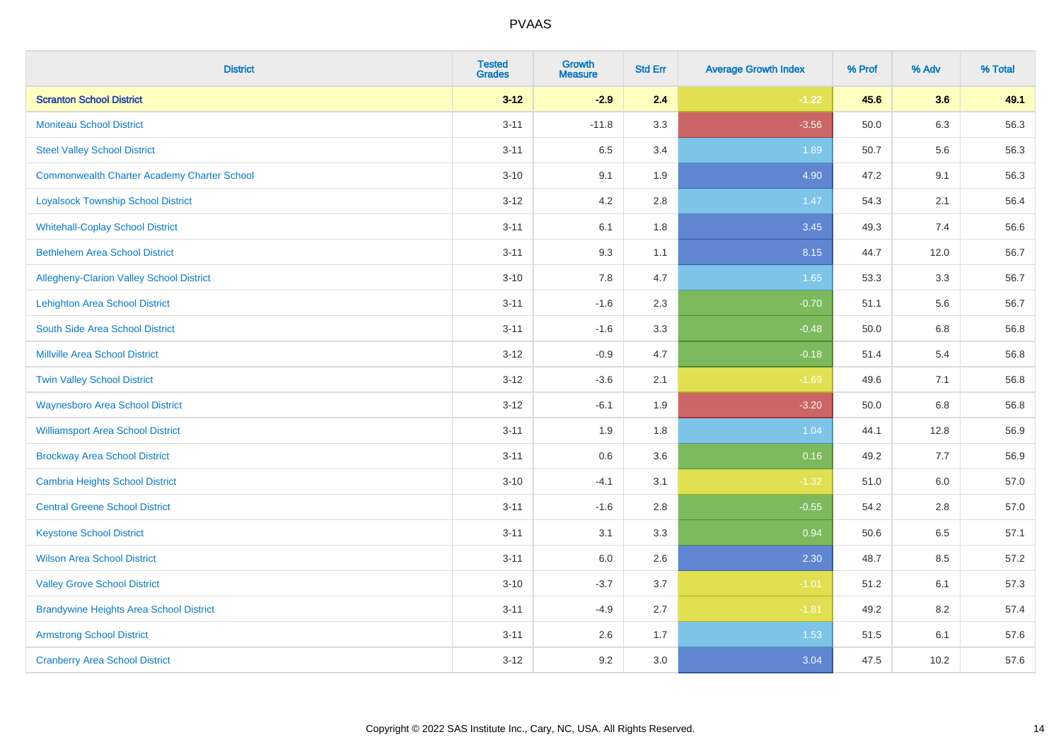| <b>District</b>                                    | <b>Tested</b><br><b>Grades</b> | <b>Growth</b><br><b>Measure</b> | <b>Std Err</b> | <b>Average Growth Index</b> | % Prof | % Adv | % Total |
|----------------------------------------------------|--------------------------------|---------------------------------|----------------|-----------------------------|--------|-------|---------|
| <b>Scranton School District</b>                    | $3 - 12$                       | $-2.9$                          | 2.4            | $-1.22$                     | 45.6   | 3.6   | 49.1    |
| <b>Moniteau School District</b>                    | $3 - 11$                       | $-11.8$                         | 3.3            | $-3.56$                     | 50.0   | 6.3   | 56.3    |
| <b>Steel Valley School District</b>                | $3 - 11$                       | 6.5                             | 3.4            | 1.89                        | 50.7   | 5.6   | 56.3    |
| <b>Commonwealth Charter Academy Charter School</b> | $3 - 10$                       | 9.1                             | 1.9            | 4.90                        | 47.2   | 9.1   | 56.3    |
| <b>Loyalsock Township School District</b>          | $3 - 12$                       | 4.2                             | 2.8            | 1.47                        | 54.3   | 2.1   | 56.4    |
| <b>Whitehall-Coplay School District</b>            | $3 - 11$                       | 6.1                             | 1.8            | 3.45                        | 49.3   | 7.4   | 56.6    |
| <b>Bethlehem Area School District</b>              | $3 - 11$                       | 9.3                             | 1.1            | 8.15                        | 44.7   | 12.0  | 56.7    |
| Allegheny-Clarion Valley School District           | $3 - 10$                       | 7.8                             | 4.7            | 1.65                        | 53.3   | 3.3   | 56.7    |
| <b>Lehighton Area School District</b>              | $3 - 11$                       | $-1.6$                          | 2.3            | $-0.70$                     | 51.1   | 5.6   | 56.7    |
| South Side Area School District                    | $3 - 11$                       | $-1.6$                          | 3.3            | $-0.48$                     | 50.0   | 6.8   | 56.8    |
| <b>Millville Area School District</b>              | $3 - 12$                       | $-0.9$                          | 4.7            | $-0.18$                     | 51.4   | 5.4   | 56.8    |
| <b>Twin Valley School District</b>                 | $3 - 12$                       | $-3.6$                          | 2.1            | $-1.69$                     | 49.6   | 7.1   | 56.8    |
| <b>Waynesboro Area School District</b>             | $3 - 12$                       | $-6.1$                          | 1.9            | $-3.20$                     | 50.0   | 6.8   | 56.8    |
| <b>Williamsport Area School District</b>           | $3 - 11$                       | 1.9                             | 1.8            | 1.04                        | 44.1   | 12.8  | 56.9    |
| <b>Brockway Area School District</b>               | $3 - 11$                       | $0.6\,$                         | 3.6            | 0.16                        | 49.2   | 7.7   | 56.9    |
| <b>Cambria Heights School District</b>             | $3 - 10$                       | $-4.1$                          | 3.1            | $-1.32$                     | 51.0   | 6.0   | 57.0    |
| <b>Central Greene School District</b>              | $3 - 11$                       | $-1.6$                          | 2.8            | $-0.55$                     | 54.2   | 2.8   | 57.0    |
| <b>Keystone School District</b>                    | $3 - 11$                       | 3.1                             | 3.3            | 0.94                        | 50.6   | 6.5   | 57.1    |
| <b>Wilson Area School District</b>                 | $3 - 11$                       | 6.0                             | 2.6            | 2.30                        | 48.7   | 8.5   | 57.2    |
| <b>Valley Grove School District</b>                | $3 - 10$                       | $-3.7$                          | 3.7            | $-1.01$                     | 51.2   | 6.1   | 57.3    |
| <b>Brandywine Heights Area School District</b>     | $3 - 11$                       | $-4.9$                          | 2.7            | $-1.81$                     | 49.2   | 8.2   | 57.4    |
| <b>Armstrong School District</b>                   | $3 - 11$                       | 2.6                             | 1.7            | 1.53                        | 51.5   | 6.1   | 57.6    |
| <b>Cranberry Area School District</b>              | $3 - 12$                       | 9.2                             | 3.0            | 3.04                        | 47.5   | 10.2  | 57.6    |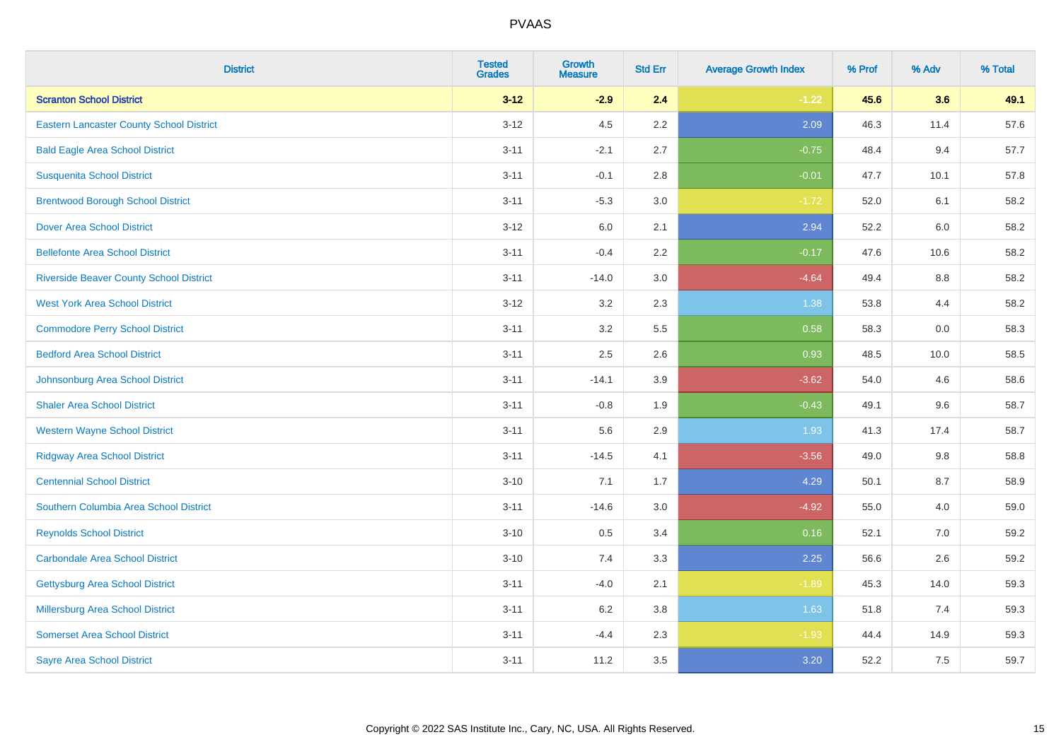| <b>District</b>                                 | <b>Tested</b><br><b>Grades</b> | <b>Growth</b><br><b>Measure</b> | <b>Std Err</b> | <b>Average Growth Index</b> | % Prof | % Adv | % Total |
|-------------------------------------------------|--------------------------------|---------------------------------|----------------|-----------------------------|--------|-------|---------|
| <b>Scranton School District</b>                 | $3 - 12$                       | $-2.9$                          | 2.4            | $-1.22$                     | 45.6   | 3.6   | 49.1    |
| <b>Eastern Lancaster County School District</b> | $3 - 12$                       | 4.5                             | 2.2            | 2.09                        | 46.3   | 11.4  | 57.6    |
| <b>Bald Eagle Area School District</b>          | $3 - 11$                       | $-2.1$                          | 2.7            | $-0.75$                     | 48.4   | 9.4   | 57.7    |
| <b>Susquenita School District</b>               | $3 - 11$                       | $-0.1$                          | 2.8            | $-0.01$                     | 47.7   | 10.1  | 57.8    |
| <b>Brentwood Borough School District</b>        | $3 - 11$                       | $-5.3$                          | 3.0            | $-1.72$                     | 52.0   | 6.1   | 58.2    |
| <b>Dover Area School District</b>               | $3 - 12$                       | 6.0                             | 2.1            | 2.94                        | 52.2   | 6.0   | 58.2    |
| <b>Bellefonte Area School District</b>          | $3 - 11$                       | $-0.4$                          | 2.2            | $-0.17$                     | 47.6   | 10.6  | 58.2    |
| <b>Riverside Beaver County School District</b>  | $3 - 11$                       | $-14.0$                         | 3.0            | $-4.64$                     | 49.4   | 8.8   | 58.2    |
| <b>West York Area School District</b>           | $3 - 12$                       | 3.2                             | 2.3            | 1.38                        | 53.8   | 4.4   | 58.2    |
| <b>Commodore Perry School District</b>          | $3 - 11$                       | 3.2                             | 5.5            | 0.58                        | 58.3   | 0.0   | 58.3    |
| <b>Bedford Area School District</b>             | $3 - 11$                       | 2.5                             | 2.6            | 0.93                        | 48.5   | 10.0  | 58.5    |
| Johnsonburg Area School District                | $3 - 11$                       | $-14.1$                         | 3.9            | $-3.62$                     | 54.0   | 4.6   | 58.6    |
| <b>Shaler Area School District</b>              | $3 - 11$                       | $-0.8$                          | 1.9            | $-0.43$                     | 49.1   | 9.6   | 58.7    |
| <b>Western Wayne School District</b>            | $3 - 11$                       | 5.6                             | 2.9            | 1.93                        | 41.3   | 17.4  | 58.7    |
| <b>Ridgway Area School District</b>             | $3 - 11$                       | $-14.5$                         | 4.1            | $-3.56$                     | 49.0   | 9.8   | 58.8    |
| <b>Centennial School District</b>               | $3 - 10$                       | 7.1                             | 1.7            | 4.29                        | 50.1   | 8.7   | 58.9    |
| Southern Columbia Area School District          | $3 - 11$                       | $-14.6$                         | 3.0            | $-4.92$                     | 55.0   | 4.0   | 59.0    |
| <b>Reynolds School District</b>                 | $3 - 10$                       | 0.5                             | 3.4            | 0.16                        | 52.1   | 7.0   | 59.2    |
| <b>Carbondale Area School District</b>          | $3 - 10$                       | 7.4                             | 3.3            | 2.25                        | 56.6   | 2.6   | 59.2    |
| <b>Gettysburg Area School District</b>          | $3 - 11$                       | $-4.0$                          | 2.1            | $-1.89$                     | 45.3   | 14.0  | 59.3    |
| <b>Millersburg Area School District</b>         | $3 - 11$                       | 6.2                             | 3.8            | 1.63                        | 51.8   | 7.4   | 59.3    |
| <b>Somerset Area School District</b>            | $3 - 11$                       | $-4.4$                          | 2.3            | $-1.93$                     | 44.4   | 14.9  | 59.3    |
| <b>Sayre Area School District</b>               | $3 - 11$                       | 11.2                            | 3.5            | 3.20                        | 52.2   | 7.5   | 59.7    |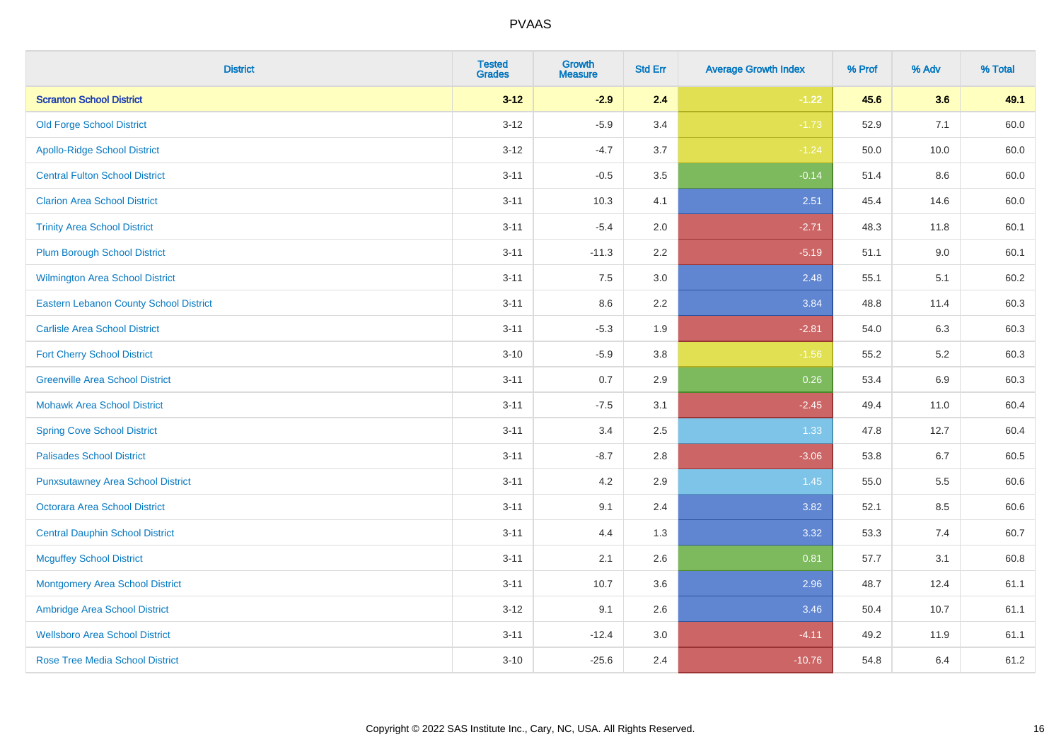| <b>District</b>                               | <b>Tested</b><br><b>Grades</b> | <b>Growth</b><br><b>Measure</b> | <b>Std Err</b> | <b>Average Growth Index</b> | % Prof | % Adv   | % Total |
|-----------------------------------------------|--------------------------------|---------------------------------|----------------|-----------------------------|--------|---------|---------|
| <b>Scranton School District</b>               | $3 - 12$                       | $-2.9$                          | 2.4            | $-1.22$                     | 45.6   | 3.6     | 49.1    |
| <b>Old Forge School District</b>              | $3 - 12$                       | $-5.9$                          | 3.4            | $-1.73$                     | 52.9   | 7.1     | 60.0    |
| <b>Apollo-Ridge School District</b>           | $3-12$                         | $-4.7$                          | 3.7            | $-1.24$                     | 50.0   | 10.0    | 60.0    |
| <b>Central Fulton School District</b>         | $3 - 11$                       | $-0.5$                          | 3.5            | $-0.14$                     | 51.4   | 8.6     | 60.0    |
| <b>Clarion Area School District</b>           | $3 - 11$                       | 10.3                            | 4.1            | 2.51                        | 45.4   | 14.6    | 60.0    |
| <b>Trinity Area School District</b>           | $3 - 11$                       | $-5.4$                          | 2.0            | $-2.71$                     | 48.3   | 11.8    | 60.1    |
| <b>Plum Borough School District</b>           | $3 - 11$                       | $-11.3$                         | 2.2            | $-5.19$                     | 51.1   | $9.0\,$ | 60.1    |
| <b>Wilmington Area School District</b>        | $3 - 11$                       | 7.5                             | 3.0            | 2.48                        | 55.1   | 5.1     | 60.2    |
| <b>Eastern Lebanon County School District</b> | $3 - 11$                       | 8.6                             | 2.2            | 3.84                        | 48.8   | 11.4    | 60.3    |
| <b>Carlisle Area School District</b>          | $3 - 11$                       | $-5.3$                          | 1.9            | $-2.81$                     | 54.0   | 6.3     | 60.3    |
| <b>Fort Cherry School District</b>            | $3 - 10$                       | $-5.9$                          | 3.8            | $-1.56$                     | 55.2   | $5.2\,$ | 60.3    |
| <b>Greenville Area School District</b>        | $3 - 11$                       | 0.7                             | 2.9            | 0.26                        | 53.4   | 6.9     | 60.3    |
| <b>Mohawk Area School District</b>            | $3 - 11$                       | $-7.5$                          | 3.1            | $-2.45$                     | 49.4   | 11.0    | 60.4    |
| <b>Spring Cove School District</b>            | $3 - 11$                       | 3.4                             | 2.5            | 1.33                        | 47.8   | 12.7    | 60.4    |
| <b>Palisades School District</b>              | $3 - 11$                       | $-8.7$                          | 2.8            | $-3.06$                     | 53.8   | 6.7     | 60.5    |
| <b>Punxsutawney Area School District</b>      | $3 - 11$                       | 4.2                             | 2.9            | 1.45                        | 55.0   | 5.5     | 60.6    |
| <b>Octorara Area School District</b>          | $3 - 11$                       | 9.1                             | 2.4            | 3.82                        | 52.1   | 8.5     | 60.6    |
| <b>Central Dauphin School District</b>        | $3 - 11$                       | 4.4                             | 1.3            | 3.32                        | 53.3   | 7.4     | 60.7    |
| <b>Mcguffey School District</b>               | $3 - 11$                       | 2.1                             | 2.6            | 0.81                        | 57.7   | 3.1     | 60.8    |
| <b>Montgomery Area School District</b>        | $3 - 11$                       | 10.7                            | 3.6            | 2.96                        | 48.7   | 12.4    | 61.1    |
| Ambridge Area School District                 | $3 - 12$                       | 9.1                             | 2.6            | 3.46                        | 50.4   | 10.7    | 61.1    |
| <b>Wellsboro Area School District</b>         | $3 - 11$                       | $-12.4$                         | 3.0            | $-4.11$                     | 49.2   | 11.9    | 61.1    |
| <b>Rose Tree Media School District</b>        | $3 - 10$                       | $-25.6$                         | 2.4            | $-10.76$                    | 54.8   | 6.4     | 61.2    |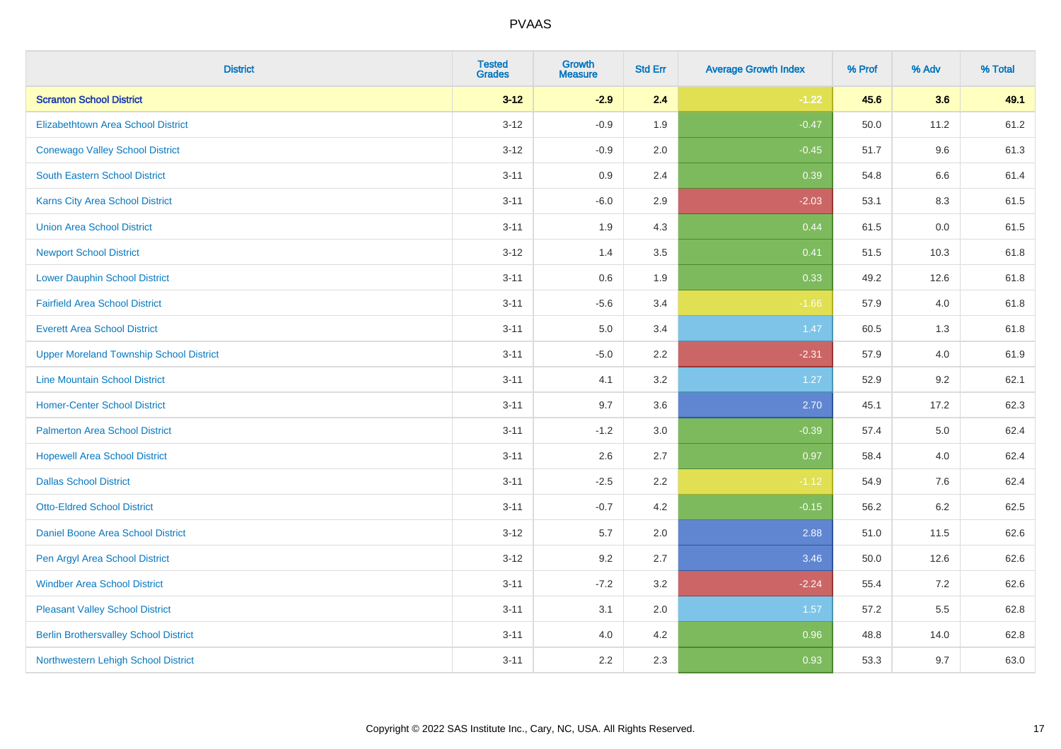| <b>District</b>                                | <b>Tested</b><br><b>Grades</b> | Growth<br><b>Measure</b> | <b>Std Err</b> | <b>Average Growth Index</b> | % Prof | % Adv   | % Total |
|------------------------------------------------|--------------------------------|--------------------------|----------------|-----------------------------|--------|---------|---------|
| <b>Scranton School District</b>                | $3 - 12$                       | $-2.9$                   | 2.4            | $-1.22$                     | 45.6   | 3.6     | 49.1    |
| <b>Elizabethtown Area School District</b>      | $3 - 12$                       | $-0.9$                   | 1.9            | $-0.47$                     | 50.0   | 11.2    | 61.2    |
| <b>Conewago Valley School District</b>         | $3 - 12$                       | $-0.9$                   | 2.0            | $-0.45$                     | 51.7   | 9.6     | 61.3    |
| <b>South Eastern School District</b>           | $3 - 11$                       | 0.9                      | 2.4            | 0.39                        | 54.8   | $6.6\,$ | 61.4    |
| Karns City Area School District                | $3 - 11$                       | $-6.0$                   | 2.9            | $-2.03$                     | 53.1   | 8.3     | 61.5    |
| <b>Union Area School District</b>              | $3 - 11$                       | 1.9                      | 4.3            | 0.44                        | 61.5   | 0.0     | 61.5    |
| <b>Newport School District</b>                 | $3 - 12$                       | 1.4                      | 3.5            | 0.41                        | 51.5   | 10.3    | 61.8    |
| <b>Lower Dauphin School District</b>           | $3 - 11$                       | $0.6\,$                  | 1.9            | 0.33                        | 49.2   | 12.6    | 61.8    |
| <b>Fairfield Area School District</b>          | $3 - 11$                       | $-5.6$                   | 3.4            | $-1.66$                     | 57.9   | 4.0     | 61.8    |
| <b>Everett Area School District</b>            | $3 - 11$                       | 5.0                      | 3.4            | 1.47                        | 60.5   | 1.3     | 61.8    |
| <b>Upper Moreland Township School District</b> | $3 - 11$                       | $-5.0$                   | 2.2            | $-2.31$                     | 57.9   | 4.0     | 61.9    |
| <b>Line Mountain School District</b>           | $3 - 11$                       | 4.1                      | 3.2            | 1.27                        | 52.9   | 9.2     | 62.1    |
| <b>Homer-Center School District</b>            | $3 - 11$                       | 9.7                      | 3.6            | 2.70                        | 45.1   | 17.2    | 62.3    |
| <b>Palmerton Area School District</b>          | $3 - 11$                       | $-1.2$                   | 3.0            | $-0.39$                     | 57.4   | 5.0     | 62.4    |
| <b>Hopewell Area School District</b>           | $3 - 11$                       | 2.6                      | 2.7            | 0.97                        | 58.4   | 4.0     | 62.4    |
| <b>Dallas School District</b>                  | $3 - 11$                       | $-2.5$                   | 2.2            | $-1.12$                     | 54.9   | $7.6\,$ | 62.4    |
| <b>Otto-Eldred School District</b>             | $3 - 11$                       | $-0.7$                   | 4.2            | $-0.15$                     | 56.2   | 6.2     | 62.5    |
| Daniel Boone Area School District              | $3 - 12$                       | 5.7                      | 2.0            | 2.88                        | 51.0   | 11.5    | 62.6    |
| Pen Argyl Area School District                 | $3 - 12$                       | 9.2                      | 2.7            | 3.46                        | 50.0   | 12.6    | 62.6    |
| <b>Windber Area School District</b>            | $3 - 11$                       | $-7.2$                   | 3.2            | $-2.24$                     | 55.4   | 7.2     | 62.6    |
| <b>Pleasant Valley School District</b>         | $3 - 11$                       | 3.1                      | 2.0            | 1.57                        | 57.2   | 5.5     | 62.8    |
| <b>Berlin Brothersvalley School District</b>   | $3 - 11$                       | 4.0                      | 4.2            | 0.96                        | 48.8   | 14.0    | 62.8    |
| Northwestern Lehigh School District            | $3 - 11$                       | 2.2                      | 2.3            | 0.93                        | 53.3   | 9.7     | 63.0    |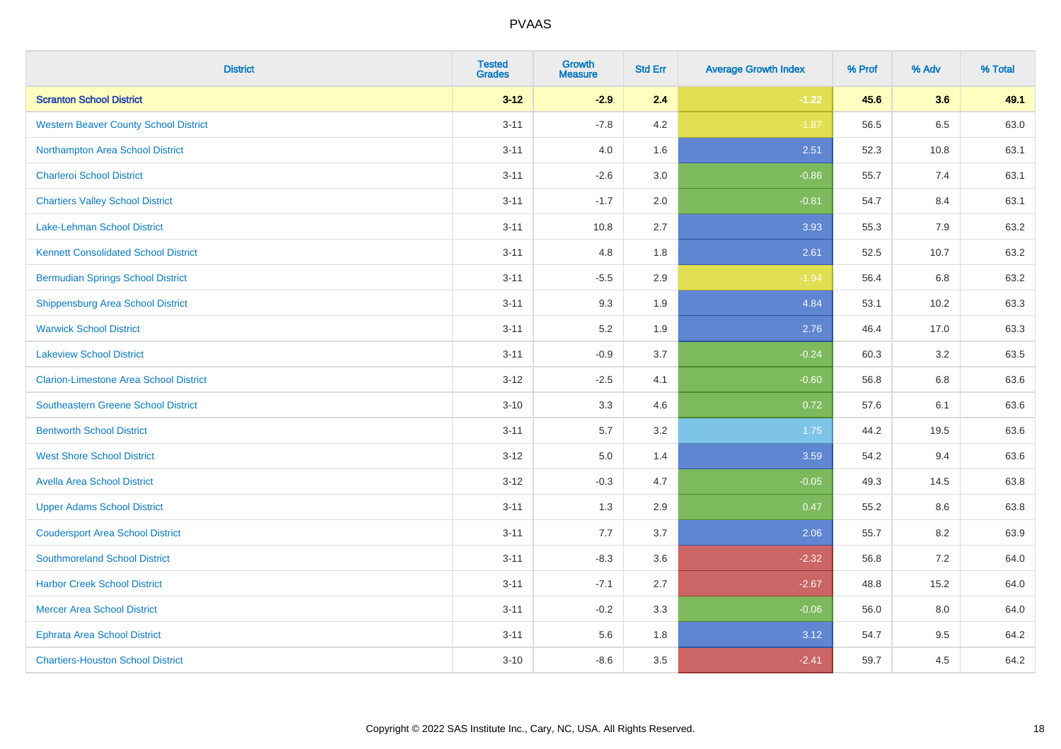| <b>District</b>                               | <b>Tested</b><br><b>Grades</b> | <b>Growth</b><br><b>Measure</b> | <b>Std Err</b> | <b>Average Growth Index</b> | % Prof | % Adv | % Total |
|-----------------------------------------------|--------------------------------|---------------------------------|----------------|-----------------------------|--------|-------|---------|
| <b>Scranton School District</b>               | $3 - 12$                       | $-2.9$                          | 2.4            | $-1.22$                     | 45.6   | 3.6   | 49.1    |
| <b>Western Beaver County School District</b>  | $3 - 11$                       | $-7.8$                          | 4.2            | $-1.87$                     | 56.5   | 6.5   | 63.0    |
| Northampton Area School District              | $3 - 11$                       | 4.0                             | 1.6            | 2.51                        | 52.3   | 10.8  | 63.1    |
| <b>Charleroi School District</b>              | $3 - 11$                       | $-2.6$                          | 3.0            | $-0.86$                     | 55.7   | 7.4   | 63.1    |
| <b>Chartiers Valley School District</b>       | $3 - 11$                       | $-1.7$                          | 2.0            | $-0.81$                     | 54.7   | 8.4   | 63.1    |
| Lake-Lehman School District                   | $3 - 11$                       | 10.8                            | 2.7            | 3.93                        | 55.3   | 7.9   | 63.2    |
| <b>Kennett Consolidated School District</b>   | $3 - 11$                       | 4.8                             | 1.8            | 2.61                        | 52.5   | 10.7  | 63.2    |
| <b>Bermudian Springs School District</b>      | $3 - 11$                       | $-5.5$                          | 2.9            | $-1.94$                     | 56.4   | 6.8   | 63.2    |
| <b>Shippensburg Area School District</b>      | $3 - 11$                       | 9.3                             | 1.9            | 4.84                        | 53.1   | 10.2  | 63.3    |
| <b>Warwick School District</b>                | $3 - 11$                       | 5.2                             | 1.9            | 2.76                        | 46.4   | 17.0  | 63.3    |
| <b>Lakeview School District</b>               | $3 - 11$                       | $-0.9$                          | 3.7            | $-0.24$                     | 60.3   | 3.2   | 63.5    |
| <b>Clarion-Limestone Area School District</b> | $3 - 12$                       | $-2.5$                          | 4.1            | $-0.60$                     | 56.8   | 6.8   | 63.6    |
| Southeastern Greene School District           | $3 - 10$                       | 3.3                             | 4.6            | 0.72                        | 57.6   | 6.1   | 63.6    |
| <b>Bentworth School District</b>              | $3 - 11$                       | 5.7                             | 3.2            | 1.75                        | 44.2   | 19.5  | 63.6    |
| <b>West Shore School District</b>             | $3 - 12$                       | $5.0\,$                         | 1.4            | 3.59                        | 54.2   | 9.4   | 63.6    |
| <b>Avella Area School District</b>            | $3 - 12$                       | $-0.3$                          | 4.7            | $-0.05$                     | 49.3   | 14.5  | 63.8    |
| <b>Upper Adams School District</b>            | $3 - 11$                       | 1.3                             | 2.9            | 0.47                        | 55.2   | 8.6   | 63.8    |
| <b>Coudersport Area School District</b>       | $3 - 11$                       | 7.7                             | 3.7            | 2.06                        | 55.7   | 8.2   | 63.9    |
| <b>Southmoreland School District</b>          | $3 - 11$                       | $-8.3$                          | 3.6            | $-2.32$                     | 56.8   | 7.2   | 64.0    |
| <b>Harbor Creek School District</b>           | $3 - 11$                       | $-7.1$                          | 2.7            | $-2.67$                     | 48.8   | 15.2  | 64.0    |
| <b>Mercer Area School District</b>            | $3 - 11$                       | $-0.2$                          | 3.3            | $-0.06$                     | 56.0   | 8.0   | 64.0    |
| <b>Ephrata Area School District</b>           | $3 - 11$                       | 5.6                             | 1.8            | 3.12                        | 54.7   | 9.5   | 64.2    |
| <b>Chartiers-Houston School District</b>      | $3 - 10$                       | $-8.6$                          | 3.5            | $-2.41$                     | 59.7   | 4.5   | 64.2    |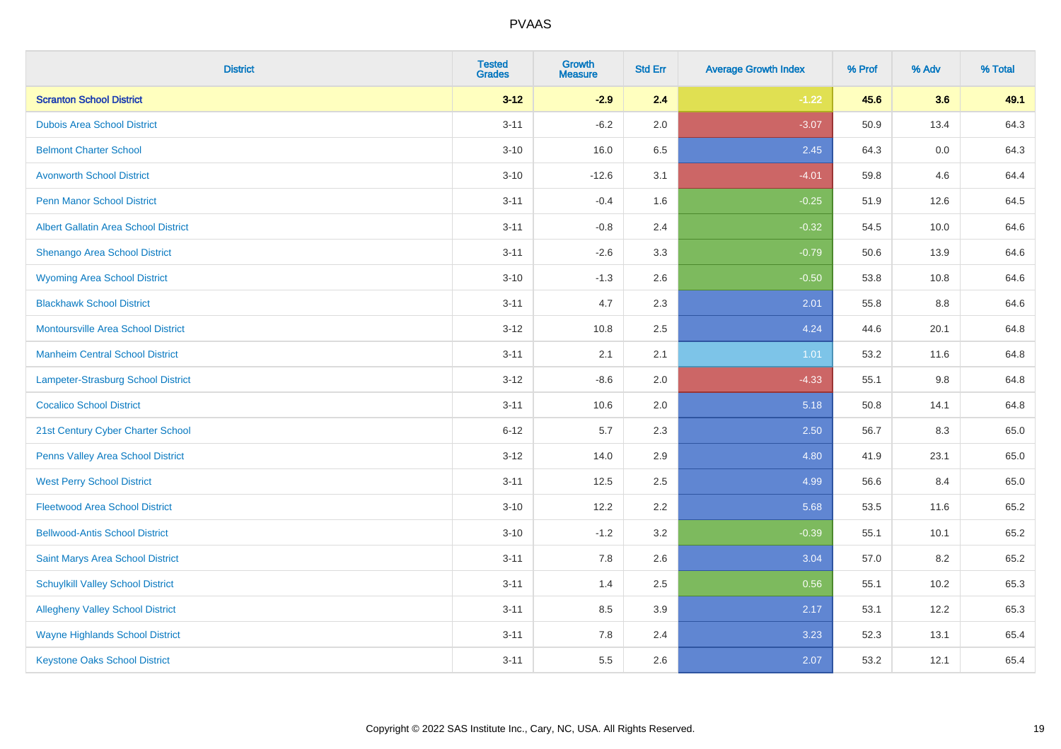| <b>District</b>                             | <b>Tested</b><br><b>Grades</b> | <b>Growth</b><br><b>Measure</b> | <b>Std Err</b> | <b>Average Growth Index</b> | % Prof | % Adv   | % Total |
|---------------------------------------------|--------------------------------|---------------------------------|----------------|-----------------------------|--------|---------|---------|
| <b>Scranton School District</b>             | $3 - 12$                       | $-2.9$                          | 2.4            | $-1.22$                     | 45.6   | 3.6     | 49.1    |
| <b>Dubois Area School District</b>          | $3 - 11$                       | $-6.2$                          | 2.0            | $-3.07$                     | 50.9   | 13.4    | 64.3    |
| <b>Belmont Charter School</b>               | $3 - 10$                       | 16.0                            | 6.5            | 2.45                        | 64.3   | 0.0     | 64.3    |
| <b>Avonworth School District</b>            | $3 - 10$                       | $-12.6$                         | 3.1            | $-4.01$                     | 59.8   | 4.6     | 64.4    |
| <b>Penn Manor School District</b>           | $3 - 11$                       | $-0.4$                          | 1.6            | $-0.25$                     | 51.9   | 12.6    | 64.5    |
| <b>Albert Gallatin Area School District</b> | $3 - 11$                       | $-0.8$                          | 2.4            | $-0.32$                     | 54.5   | 10.0    | 64.6    |
| Shenango Area School District               | $3 - 11$                       | $-2.6$                          | 3.3            | $-0.79$                     | 50.6   | 13.9    | 64.6    |
| <b>Wyoming Area School District</b>         | $3 - 10$                       | $-1.3$                          | 2.6            | $-0.50$                     | 53.8   | 10.8    | 64.6    |
| <b>Blackhawk School District</b>            | $3 - 11$                       | 4.7                             | 2.3            | 2.01                        | 55.8   | 8.8     | 64.6    |
| <b>Montoursville Area School District</b>   | $3 - 12$                       | 10.8                            | 2.5            | 4.24                        | 44.6   | 20.1    | 64.8    |
| <b>Manheim Central School District</b>      | $3 - 11$                       | 2.1                             | 2.1            | 1.01                        | 53.2   | 11.6    | 64.8    |
| Lampeter-Strasburg School District          | $3 - 12$                       | $-8.6$                          | 2.0            | $-4.33$                     | 55.1   | $9.8\,$ | 64.8    |
| <b>Cocalico School District</b>             | $3 - 11$                       | 10.6                            | 2.0            | 5.18                        | 50.8   | 14.1    | 64.8    |
| 21st Century Cyber Charter School           | $6 - 12$                       | 5.7                             | 2.3            | 2.50                        | 56.7   | 8.3     | 65.0    |
| Penns Valley Area School District           | $3 - 12$                       | 14.0                            | 2.9            | 4.80                        | 41.9   | 23.1    | 65.0    |
| <b>West Perry School District</b>           | $3 - 11$                       | 12.5                            | 2.5            | 4.99                        | 56.6   | 8.4     | 65.0    |
| <b>Fleetwood Area School District</b>       | $3 - 10$                       | 12.2                            | 2.2            | 5.68                        | 53.5   | 11.6    | 65.2    |
| <b>Bellwood-Antis School District</b>       | $3 - 10$                       | $-1.2$                          | 3.2            | $-0.39$                     | 55.1   | 10.1    | 65.2    |
| Saint Marys Area School District            | $3 - 11$                       | 7.8                             | 2.6            | 3.04                        | 57.0   | 8.2     | 65.2    |
| <b>Schuylkill Valley School District</b>    | $3 - 11$                       | 1.4                             | 2.5            | 0.56                        | 55.1   | 10.2    | 65.3    |
| <b>Allegheny Valley School District</b>     | $3 - 11$                       | 8.5                             | 3.9            | 2.17                        | 53.1   | 12.2    | 65.3    |
| <b>Wayne Highlands School District</b>      | $3 - 11$                       | 7.8                             | 2.4            | 3.23                        | 52.3   | 13.1    | 65.4    |
| <b>Keystone Oaks School District</b>        | $3 - 11$                       | 5.5                             | 2.6            | 2.07                        | 53.2   | 12.1    | 65.4    |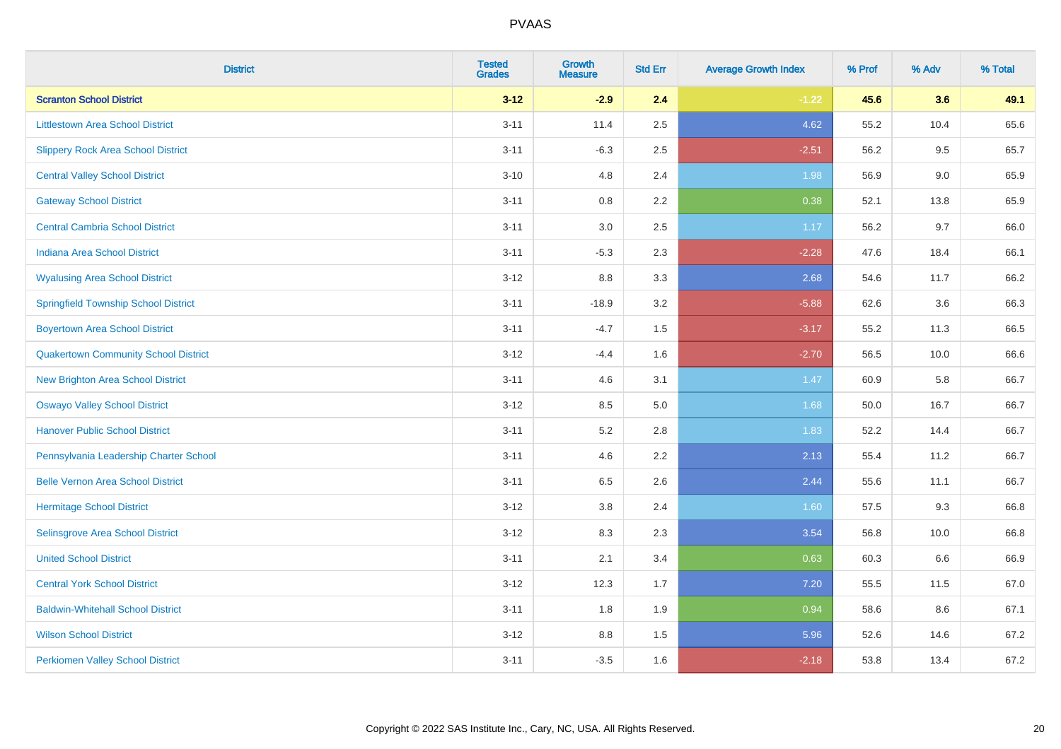| <b>District</b>                             | <b>Tested</b><br><b>Grades</b> | <b>Growth</b><br><b>Measure</b> | <b>Std Err</b> | <b>Average Growth Index</b> | % Prof | % Adv | % Total |
|---------------------------------------------|--------------------------------|---------------------------------|----------------|-----------------------------|--------|-------|---------|
| <b>Scranton School District</b>             | $3 - 12$                       | $-2.9$                          | 2.4            | $-1.22$                     | 45.6   | 3.6   | 49.1    |
| <b>Littlestown Area School District</b>     | $3 - 11$                       | 11.4                            | $2.5\,$        | 4.62                        | 55.2   | 10.4  | 65.6    |
| <b>Slippery Rock Area School District</b>   | $3 - 11$                       | $-6.3$                          | 2.5            | $-2.51$                     | 56.2   | 9.5   | 65.7    |
| <b>Central Valley School District</b>       | $3 - 10$                       | 4.8                             | 2.4            | 1.98                        | 56.9   | 9.0   | 65.9    |
| <b>Gateway School District</b>              | $3 - 11$                       | 0.8                             | 2.2            | 0.38                        | 52.1   | 13.8  | 65.9    |
| <b>Central Cambria School District</b>      | $3 - 11$                       | $3.0\,$                         | 2.5            | 1.17                        | 56.2   | 9.7   | 66.0    |
| Indiana Area School District                | $3 - 11$                       | $-5.3$                          | 2.3            | $-2.28$                     | 47.6   | 18.4  | 66.1    |
| <b>Wyalusing Area School District</b>       | $3 - 12$                       | 8.8                             | 3.3            | 2.68                        | 54.6   | 11.7  | 66.2    |
| <b>Springfield Township School District</b> | $3 - 11$                       | $-18.9$                         | 3.2            | $-5.88$                     | 62.6   | 3.6   | 66.3    |
| <b>Boyertown Area School District</b>       | $3 - 11$                       | $-4.7$                          | 1.5            | $-3.17$                     | 55.2   | 11.3  | 66.5    |
| <b>Quakertown Community School District</b> | $3 - 12$                       | $-4.4$                          | 1.6            | $-2.70$                     | 56.5   | 10.0  | 66.6    |
| <b>New Brighton Area School District</b>    | $3 - 11$                       | 4.6                             | 3.1            | 1.47                        | 60.9   | 5.8   | 66.7    |
| <b>Oswayo Valley School District</b>        | $3 - 12$                       | 8.5                             | $5.0\,$        | 1.68                        | 50.0   | 16.7  | 66.7    |
| <b>Hanover Public School District</b>       | $3 - 11$                       | 5.2                             | 2.8            | 1.83                        | 52.2   | 14.4  | 66.7    |
| Pennsylvania Leadership Charter School      | $3 - 11$                       | 4.6                             | 2.2            | 2.13                        | 55.4   | 11.2  | 66.7    |
| <b>Belle Vernon Area School District</b>    | $3 - 11$                       | 6.5                             | 2.6            | 2.44                        | 55.6   | 11.1  | 66.7    |
| <b>Hermitage School District</b>            | $3 - 12$                       | 3.8                             | 2.4            | 1.60                        | 57.5   | 9.3   | 66.8    |
| Selinsgrove Area School District            | $3 - 12$                       | 8.3                             | 2.3            | 3.54                        | 56.8   | 10.0  | 66.8    |
| <b>United School District</b>               | $3 - 11$                       | 2.1                             | 3.4            | 0.63                        | 60.3   | 6.6   | 66.9    |
| <b>Central York School District</b>         | $3 - 12$                       | 12.3                            | 1.7            | 7.20                        | 55.5   | 11.5  | 67.0    |
| <b>Baldwin-Whitehall School District</b>    | $3 - 11$                       | 1.8                             | 1.9            | 0.94                        | 58.6   | 8.6   | 67.1    |
| <b>Wilson School District</b>               | $3 - 12$                       | 8.8                             | 1.5            | 5.96                        | 52.6   | 14.6  | 67.2    |
| <b>Perkiomen Valley School District</b>     | $3 - 11$                       | $-3.5$                          | 1.6            | $-2.18$                     | 53.8   | 13.4  | 67.2    |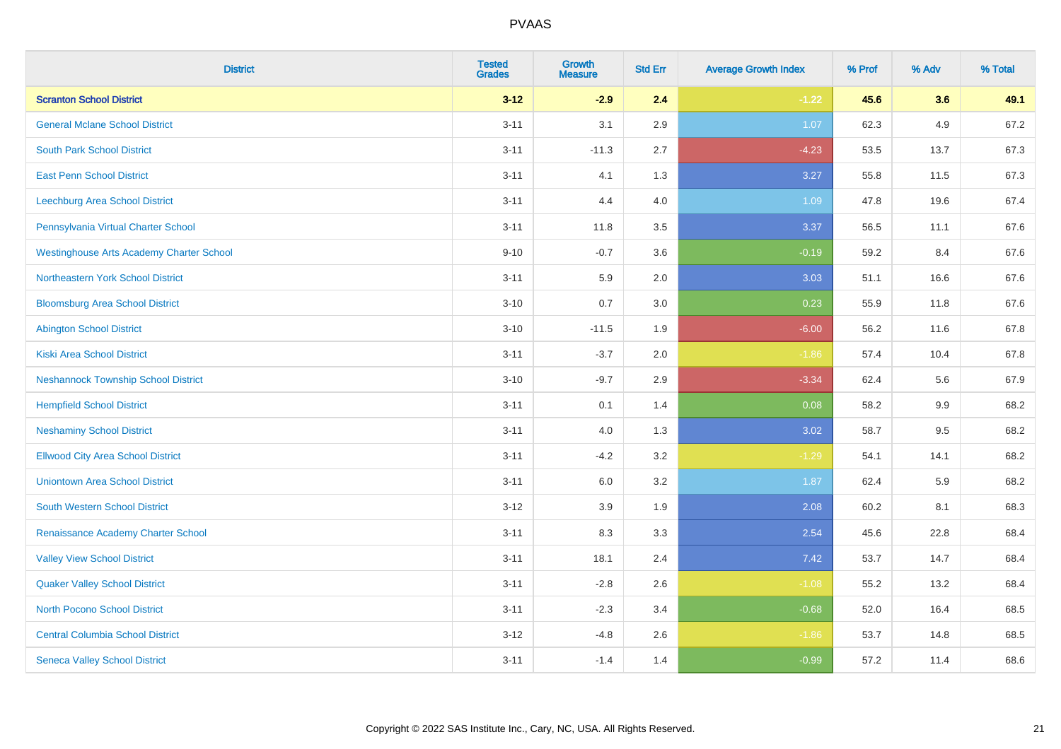| <b>District</b>                                 | <b>Tested</b><br><b>Grades</b> | <b>Growth</b><br><b>Measure</b> | <b>Std Err</b> | <b>Average Growth Index</b> | % Prof | % Adv | % Total |
|-------------------------------------------------|--------------------------------|---------------------------------|----------------|-----------------------------|--------|-------|---------|
| <b>Scranton School District</b>                 | $3 - 12$                       | $-2.9$                          | 2.4            | $-1.22$                     | 45.6   | 3.6   | 49.1    |
| <b>General Mclane School District</b>           | $3 - 11$                       | 3.1                             | 2.9            | 1.07                        | 62.3   | 4.9   | 67.2    |
| <b>South Park School District</b>               | $3 - 11$                       | $-11.3$                         | 2.7            | $-4.23$                     | 53.5   | 13.7  | 67.3    |
| <b>East Penn School District</b>                | $3 - 11$                       | 4.1                             | 1.3            | 3.27                        | 55.8   | 11.5  | 67.3    |
| Leechburg Area School District                  | $3 - 11$                       | 4.4                             | 4.0            | 1.09                        | 47.8   | 19.6  | 67.4    |
| Pennsylvania Virtual Charter School             | $3 - 11$                       | 11.8                            | 3.5            | 3.37                        | 56.5   | 11.1  | 67.6    |
| <b>Westinghouse Arts Academy Charter School</b> | $9 - 10$                       | $-0.7$                          | 3.6            | $-0.19$                     | 59.2   | 8.4   | 67.6    |
| Northeastern York School District               | $3 - 11$                       | 5.9                             | 2.0            | 3.03                        | 51.1   | 16.6  | 67.6    |
| <b>Bloomsburg Area School District</b>          | $3 - 10$                       | 0.7                             | 3.0            | 0.23                        | 55.9   | 11.8  | 67.6    |
| <b>Abington School District</b>                 | $3 - 10$                       | $-11.5$                         | 1.9            | $-6.00$                     | 56.2   | 11.6  | 67.8    |
| <b>Kiski Area School District</b>               | $3 - 11$                       | $-3.7$                          | 2.0            | $-1.86$                     | 57.4   | 10.4  | 67.8    |
| <b>Neshannock Township School District</b>      | $3 - 10$                       | $-9.7$                          | 2.9            | $-3.34$                     | 62.4   | 5.6   | 67.9    |
| <b>Hempfield School District</b>                | $3 - 11$                       | 0.1                             | 1.4            | 0.08                        | 58.2   | 9.9   | 68.2    |
| <b>Neshaminy School District</b>                | $3 - 11$                       | 4.0                             | 1.3            | 3.02                        | 58.7   | 9.5   | 68.2    |
| <b>Ellwood City Area School District</b>        | $3 - 11$                       | $-4.2$                          | 3.2            | $-1.29$                     | 54.1   | 14.1  | 68.2    |
| <b>Uniontown Area School District</b>           | $3 - 11$                       | 6.0                             | 3.2            | 1.87                        | 62.4   | 5.9   | 68.2    |
| <b>South Western School District</b>            | $3 - 12$                       | 3.9                             | 1.9            | 2.08                        | 60.2   | 8.1   | 68.3    |
| Renaissance Academy Charter School              | $3 - 11$                       | 8.3                             | 3.3            | 2.54                        | 45.6   | 22.8  | 68.4    |
| <b>Valley View School District</b>              | $3 - 11$                       | 18.1                            | 2.4            | 7.42                        | 53.7   | 14.7  | 68.4    |
| <b>Quaker Valley School District</b>            | $3 - 11$                       | $-2.8$                          | 2.6            | $-1.08$                     | 55.2   | 13.2  | 68.4    |
| North Pocono School District                    | $3 - 11$                       | $-2.3$                          | 3.4            | $-0.68$                     | 52.0   | 16.4  | 68.5    |
| <b>Central Columbia School District</b>         | $3 - 12$                       | $-4.8$                          | 2.6            | $-1.86$                     | 53.7   | 14.8  | 68.5    |
| <b>Seneca Valley School District</b>            | $3 - 11$                       | $-1.4$                          | 1.4            | $-0.99$                     | 57.2   | 11.4  | 68.6    |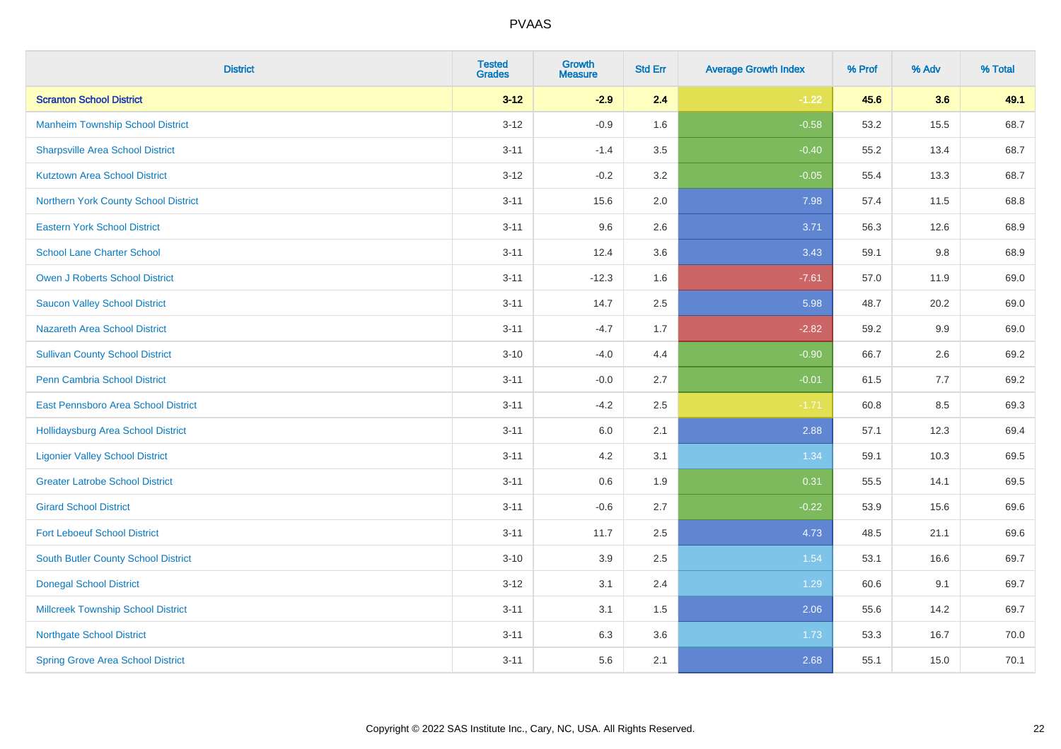| <b>District</b>                           | <b>Tested</b><br><b>Grades</b> | <b>Growth</b><br><b>Measure</b> | <b>Std Err</b> | <b>Average Growth Index</b> | % Prof | % Adv | % Total |
|-------------------------------------------|--------------------------------|---------------------------------|----------------|-----------------------------|--------|-------|---------|
| <b>Scranton School District</b>           | $3 - 12$                       | $-2.9$                          | 2.4            | $-1.22$                     | 45.6   | 3.6   | 49.1    |
| <b>Manheim Township School District</b>   | $3 - 12$                       | $-0.9$                          | 1.6            | $-0.58$                     | 53.2   | 15.5  | 68.7    |
| <b>Sharpsville Area School District</b>   | $3 - 11$                       | $-1.4$                          | 3.5            | $-0.40$                     | 55.2   | 13.4  | 68.7    |
| <b>Kutztown Area School District</b>      | $3 - 12$                       | $-0.2$                          | 3.2            | $-0.05$                     | 55.4   | 13.3  | 68.7    |
| Northern York County School District      | $3 - 11$                       | 15.6                            | 2.0            | 7.98                        | 57.4   | 11.5  | 68.8    |
| <b>Eastern York School District</b>       | $3 - 11$                       | 9.6                             | 2.6            | 3.71                        | 56.3   | 12.6  | 68.9    |
| <b>School Lane Charter School</b>         | $3 - 11$                       | 12.4                            | 3.6            | 3.43                        | 59.1   | 9.8   | 68.9    |
| <b>Owen J Roberts School District</b>     | $3 - 11$                       | $-12.3$                         | 1.6            | $-7.61$                     | 57.0   | 11.9  | 69.0    |
| <b>Saucon Valley School District</b>      | $3 - 11$                       | 14.7                            | 2.5            | 5.98                        | 48.7   | 20.2  | 69.0    |
| <b>Nazareth Area School District</b>      | $3 - 11$                       | $-4.7$                          | 1.7            | $-2.82$                     | 59.2   | 9.9   | 69.0    |
| <b>Sullivan County School District</b>    | $3 - 10$                       | $-4.0$                          | 4.4            | $-0.90$                     | 66.7   | 2.6   | 69.2    |
| Penn Cambria School District              | $3 - 11$                       | $-0.0$                          | 2.7            | $-0.01$                     | 61.5   | 7.7   | 69.2    |
| East Pennsboro Area School District       | $3 - 11$                       | $-4.2$                          | 2.5            | $-1.71$                     | 60.8   | 8.5   | 69.3    |
| <b>Hollidaysburg Area School District</b> | $3 - 11$                       | 6.0                             | 2.1            | 2.88                        | 57.1   | 12.3  | 69.4    |
| <b>Ligonier Valley School District</b>    | $3 - 11$                       | 4.2                             | 3.1            | 1.34                        | 59.1   | 10.3  | 69.5    |
| <b>Greater Latrobe School District</b>    | $3 - 11$                       | 0.6                             | 1.9            | 0.31                        | 55.5   | 14.1  | 69.5    |
| <b>Girard School District</b>             | $3 - 11$                       | $-0.6$                          | 2.7            | $-0.22$                     | 53.9   | 15.6  | 69.6    |
| <b>Fort Leboeuf School District</b>       | $3 - 11$                       | 11.7                            | 2.5            | 4.73                        | 48.5   | 21.1  | 69.6    |
| South Butler County School District       | $3 - 10$                       | 3.9                             | 2.5            | 1.54                        | 53.1   | 16.6  | 69.7    |
| <b>Donegal School District</b>            | $3 - 12$                       | 3.1                             | 2.4            | 1.29                        | 60.6   | 9.1   | 69.7    |
| <b>Millcreek Township School District</b> | $3 - 11$                       | 3.1                             | 1.5            | 2.06                        | 55.6   | 14.2  | 69.7    |
| <b>Northgate School District</b>          | $3 - 11$                       | 6.3                             | 3.6            | 1.73                        | 53.3   | 16.7  | 70.0    |
| <b>Spring Grove Area School District</b>  | $3 - 11$                       | 5.6                             | 2.1            | 2.68                        | 55.1   | 15.0  | 70.1    |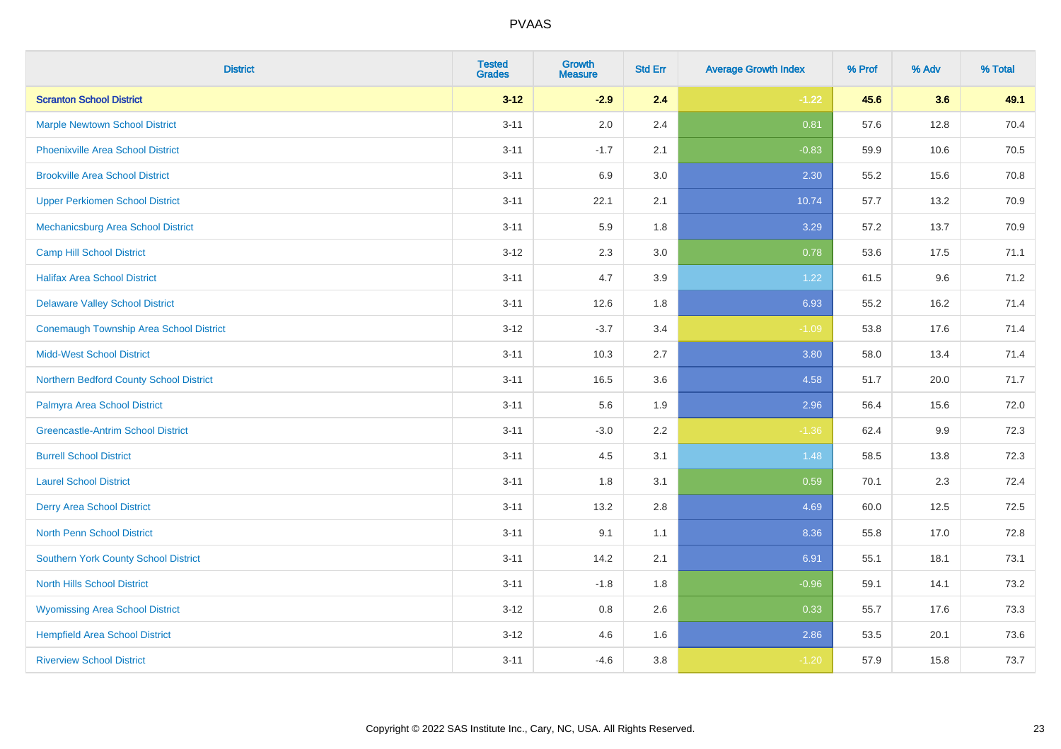| <b>District</b>                                | <b>Tested</b><br><b>Grades</b> | <b>Growth</b><br><b>Measure</b> | <b>Std Err</b> | <b>Average Growth Index</b> | % Prof | % Adv | % Total |
|------------------------------------------------|--------------------------------|---------------------------------|----------------|-----------------------------|--------|-------|---------|
| <b>Scranton School District</b>                | $3 - 12$                       | $-2.9$                          | 2.4            | $-1.22$                     | 45.6   | 3.6   | 49.1    |
| <b>Marple Newtown School District</b>          | $3 - 11$                       | 2.0                             | 2.4            | 0.81                        | 57.6   | 12.8  | 70.4    |
| <b>Phoenixville Area School District</b>       | $3 - 11$                       | $-1.7$                          | 2.1            | $-0.83$                     | 59.9   | 10.6  | 70.5    |
| <b>Brookville Area School District</b>         | $3 - 11$                       | 6.9                             | 3.0            | 2.30                        | 55.2   | 15.6  | 70.8    |
| <b>Upper Perkiomen School District</b>         | $3 - 11$                       | 22.1                            | 2.1            | 10.74                       | 57.7   | 13.2  | 70.9    |
| Mechanicsburg Area School District             | $3 - 11$                       | 5.9                             | 1.8            | 3.29                        | 57.2   | 13.7  | 70.9    |
| <b>Camp Hill School District</b>               | $3 - 12$                       | 2.3                             | 3.0            | 0.78                        | 53.6   | 17.5  | 71.1    |
| <b>Halifax Area School District</b>            | $3 - 11$                       | 4.7                             | 3.9            | 1.22                        | 61.5   | 9.6   | 71.2    |
| <b>Delaware Valley School District</b>         | $3 - 11$                       | 12.6                            | 1.8            | 6.93                        | 55.2   | 16.2  | 71.4    |
| <b>Conemaugh Township Area School District</b> | $3 - 12$                       | $-3.7$                          | 3.4            | $-1.09$                     | 53.8   | 17.6  | 71.4    |
| <b>Midd-West School District</b>               | $3 - 11$                       | 10.3                            | 2.7            | 3.80                        | 58.0   | 13.4  | 71.4    |
| Northern Bedford County School District        | $3 - 11$                       | 16.5                            | 3.6            | 4.58                        | 51.7   | 20.0  | 71.7    |
| Palmyra Area School District                   | $3 - 11$                       | 5.6                             | 1.9            | 2.96                        | 56.4   | 15.6  | 72.0    |
| <b>Greencastle-Antrim School District</b>      | $3 - 11$                       | $-3.0$                          | 2.2            | $-1.36$                     | 62.4   | 9.9   | 72.3    |
| <b>Burrell School District</b>                 | $3 - 11$                       | 4.5                             | 3.1            | 1.48                        | 58.5   | 13.8  | 72.3    |
| <b>Laurel School District</b>                  | $3 - 11$                       | 1.8                             | 3.1            | 0.59                        | 70.1   | 2.3   | 72.4    |
| <b>Derry Area School District</b>              | $3 - 11$                       | 13.2                            | 2.8            | 4.69                        | 60.0   | 12.5  | 72.5    |
| <b>North Penn School District</b>              | $3 - 11$                       | 9.1                             | 1.1            | 8.36                        | 55.8   | 17.0  | 72.8    |
| Southern York County School District           | $3 - 11$                       | 14.2                            | 2.1            | 6.91                        | 55.1   | 18.1  | 73.1    |
| <b>North Hills School District</b>             | $3 - 11$                       | $-1.8$                          | 1.8            | $-0.96$                     | 59.1   | 14.1  | 73.2    |
| <b>Wyomissing Area School District</b>         | $3 - 12$                       | 0.8                             | 2.6            | 0.33                        | 55.7   | 17.6  | 73.3    |
| <b>Hempfield Area School District</b>          | $3 - 12$                       | 4.6                             | 1.6            | 2.86                        | 53.5   | 20.1  | 73.6    |
| <b>Riverview School District</b>               | $3 - 11$                       | $-4.6$                          | 3.8            | $-1.20$                     | 57.9   | 15.8  | 73.7    |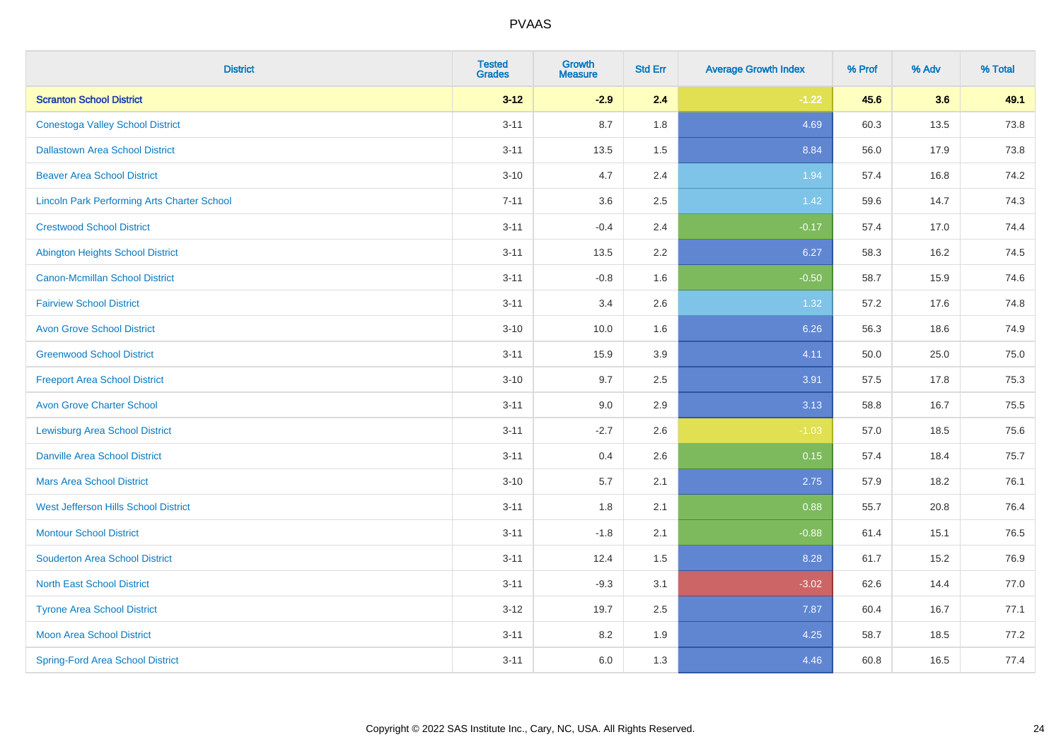| <b>District</b>                                    | <b>Tested</b><br><b>Grades</b> | <b>Growth</b><br><b>Measure</b> | <b>Std Err</b> | <b>Average Growth Index</b> | % Prof | % Adv | % Total |
|----------------------------------------------------|--------------------------------|---------------------------------|----------------|-----------------------------|--------|-------|---------|
| <b>Scranton School District</b>                    | $3 - 12$                       | $-2.9$                          | 2.4            | $-1.22$                     | 45.6   | 3.6   | 49.1    |
| <b>Conestoga Valley School District</b>            | $3 - 11$                       | 8.7                             | 1.8            | 4.69                        | 60.3   | 13.5  | 73.8    |
| <b>Dallastown Area School District</b>             | $3 - 11$                       | 13.5                            | 1.5            | 8.84                        | 56.0   | 17.9  | 73.8    |
| <b>Beaver Area School District</b>                 | $3 - 10$                       | 4.7                             | 2.4            | 1.94                        | 57.4   | 16.8  | 74.2    |
| <b>Lincoln Park Performing Arts Charter School</b> | $7 - 11$                       | 3.6                             | 2.5            | 1.42                        | 59.6   | 14.7  | 74.3    |
| <b>Crestwood School District</b>                   | $3 - 11$                       | $-0.4$                          | 2.4            | $-0.17$                     | 57.4   | 17.0  | 74.4    |
| <b>Abington Heights School District</b>            | $3 - 11$                       | 13.5                            | 2.2            | 6.27                        | 58.3   | 16.2  | 74.5    |
| <b>Canon-Mcmillan School District</b>              | $3 - 11$                       | $-0.8$                          | 1.6            | $-0.50$                     | 58.7   | 15.9  | 74.6    |
| <b>Fairview School District</b>                    | $3 - 11$                       | 3.4                             | 2.6            | 1.32                        | 57.2   | 17.6  | 74.8    |
| <b>Avon Grove School District</b>                  | $3 - 10$                       | 10.0                            | 1.6            | 6.26                        | 56.3   | 18.6  | 74.9    |
| <b>Greenwood School District</b>                   | $3 - 11$                       | 15.9                            | 3.9            | 4.11                        | 50.0   | 25.0  | 75.0    |
| <b>Freeport Area School District</b>               | $3 - 10$                       | 9.7                             | 2.5            | 3.91                        | 57.5   | 17.8  | 75.3    |
| <b>Avon Grove Charter School</b>                   | $3 - 11$                       | 9.0                             | 2.9            | 3.13                        | 58.8   | 16.7  | 75.5    |
| <b>Lewisburg Area School District</b>              | $3 - 11$                       | $-2.7$                          | 2.6            | $-1.03$                     | 57.0   | 18.5  | 75.6    |
| <b>Danville Area School District</b>               | $3 - 11$                       | 0.4                             | 2.6            | 0.15                        | 57.4   | 18.4  | 75.7    |
| <b>Mars Area School District</b>                   | $3 - 10$                       | 5.7                             | 2.1            | 2.75                        | 57.9   | 18.2  | 76.1    |
| West Jefferson Hills School District               | $3 - 11$                       | 1.8                             | 2.1            | 0.88                        | 55.7   | 20.8  | 76.4    |
| <b>Montour School District</b>                     | $3 - 11$                       | $-1.8$                          | 2.1            | $-0.88$                     | 61.4   | 15.1  | 76.5    |
| <b>Souderton Area School District</b>              | $3 - 11$                       | 12.4                            | 1.5            | 8.28                        | 61.7   | 15.2  | 76.9    |
| <b>North East School District</b>                  | $3 - 11$                       | $-9.3$                          | 3.1            | $-3.02$                     | 62.6   | 14.4  | 77.0    |
| <b>Tyrone Area School District</b>                 | $3-12$                         | 19.7                            | 2.5            | 7.87                        | 60.4   | 16.7  | 77.1    |
| <b>Moon Area School District</b>                   | $3 - 11$                       | 8.2                             | 1.9            | 4.25                        | 58.7   | 18.5  | 77.2    |
| <b>Spring-Ford Area School District</b>            | $3 - 11$                       | 6.0                             | 1.3            | 4.46                        | 60.8   | 16.5  | 77.4    |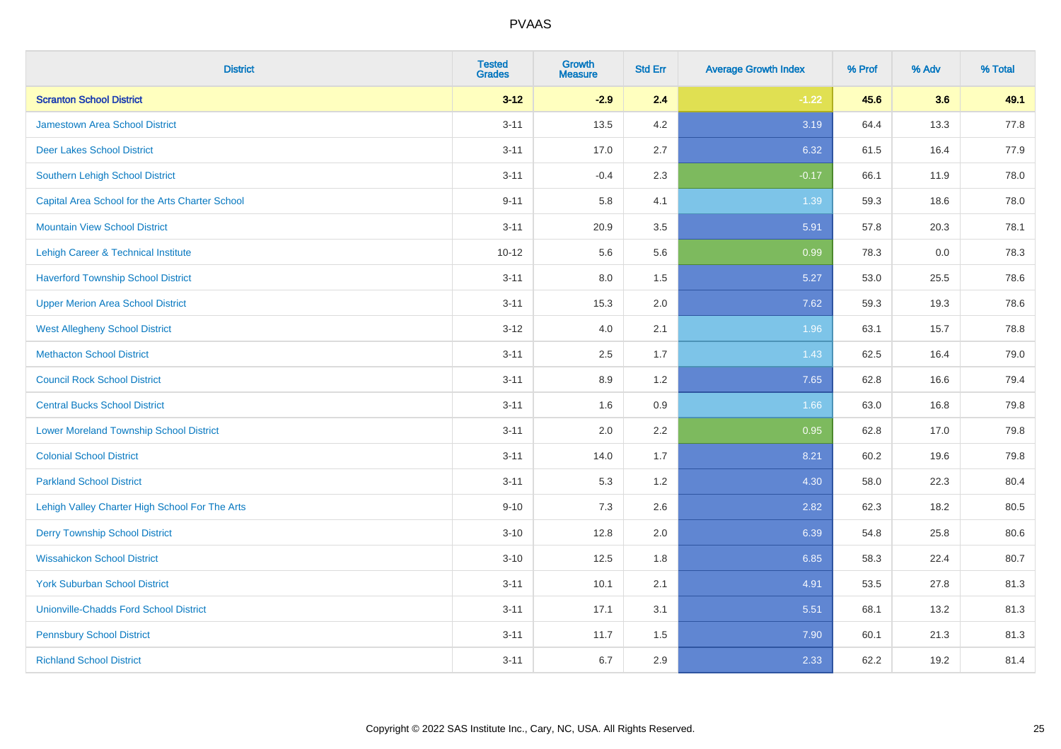| <b>District</b>                                 | <b>Tested</b><br><b>Grades</b> | <b>Growth</b><br><b>Measure</b> | <b>Std Err</b> | <b>Average Growth Index</b> | % Prof | % Adv | % Total |
|-------------------------------------------------|--------------------------------|---------------------------------|----------------|-----------------------------|--------|-------|---------|
| <b>Scranton School District</b>                 | $3 - 12$                       | $-2.9$                          | 2.4            | $-1.22$                     | 45.6   | 3.6   | 49.1    |
| <b>Jamestown Area School District</b>           | $3 - 11$                       | 13.5                            | $4.2\,$        | 3.19                        | 64.4   | 13.3  | 77.8    |
| <b>Deer Lakes School District</b>               | $3 - 11$                       | 17.0                            | 2.7            | 6.32                        | 61.5   | 16.4  | 77.9    |
| Southern Lehigh School District                 | $3 - 11$                       | $-0.4$                          | 2.3            | $-0.17$                     | 66.1   | 11.9  | 78.0    |
| Capital Area School for the Arts Charter School | $9 - 11$                       | 5.8                             | 4.1            | 1.39                        | 59.3   | 18.6  | 78.0    |
| <b>Mountain View School District</b>            | $3 - 11$                       | 20.9                            | 3.5            | 5.91                        | 57.8   | 20.3  | 78.1    |
| Lehigh Career & Technical Institute             | $10 - 12$                      | 5.6                             | 5.6            | 0.99                        | 78.3   | 0.0   | 78.3    |
| <b>Haverford Township School District</b>       | $3 - 11$                       | 8.0                             | 1.5            | 5.27                        | 53.0   | 25.5  | 78.6    |
| <b>Upper Merion Area School District</b>        | $3 - 11$                       | 15.3                            | 2.0            | 7.62                        | 59.3   | 19.3  | 78.6    |
| <b>West Allegheny School District</b>           | $3 - 12$                       | 4.0                             | 2.1            | 1.96                        | 63.1   | 15.7  | 78.8    |
| <b>Methacton School District</b>                | $3 - 11$                       | 2.5                             | 1.7            | 1.43                        | 62.5   | 16.4  | 79.0    |
| <b>Council Rock School District</b>             | $3 - 11$                       | 8.9                             | 1.2            | 7.65                        | 62.8   | 16.6  | 79.4    |
| <b>Central Bucks School District</b>            | $3 - 11$                       | 1.6                             | 0.9            | 1.66                        | 63.0   | 16.8  | 79.8    |
| <b>Lower Moreland Township School District</b>  | $3 - 11$                       | 2.0                             | 2.2            | 0.95                        | 62.8   | 17.0  | 79.8    |
| <b>Colonial School District</b>                 | $3 - 11$                       | 14.0                            | 1.7            | 8.21                        | 60.2   | 19.6  | 79.8    |
| <b>Parkland School District</b>                 | $3 - 11$                       | 5.3                             | 1.2            | 4.30                        | 58.0   | 22.3  | 80.4    |
| Lehigh Valley Charter High School For The Arts  | $9 - 10$                       | 7.3                             | 2.6            | 2.82                        | 62.3   | 18.2  | 80.5    |
| <b>Derry Township School District</b>           | $3 - 10$                       | 12.8                            | 2.0            | 6.39                        | 54.8   | 25.8  | 80.6    |
| <b>Wissahickon School District</b>              | $3 - 10$                       | 12.5                            | 1.8            | 6.85                        | 58.3   | 22.4  | 80.7    |
| <b>York Suburban School District</b>            | $3 - 11$                       | 10.1                            | 2.1            | 4.91                        | 53.5   | 27.8  | 81.3    |
| <b>Unionville-Chadds Ford School District</b>   | $3 - 11$                       | 17.1                            | 3.1            | 5.51                        | 68.1   | 13.2  | 81.3    |
| <b>Pennsbury School District</b>                | $3 - 11$                       | 11.7                            | 1.5            | 7.90                        | 60.1   | 21.3  | 81.3    |
| <b>Richland School District</b>                 | $3 - 11$                       | 6.7                             | 2.9            | 2.33                        | 62.2   | 19.2  | 81.4    |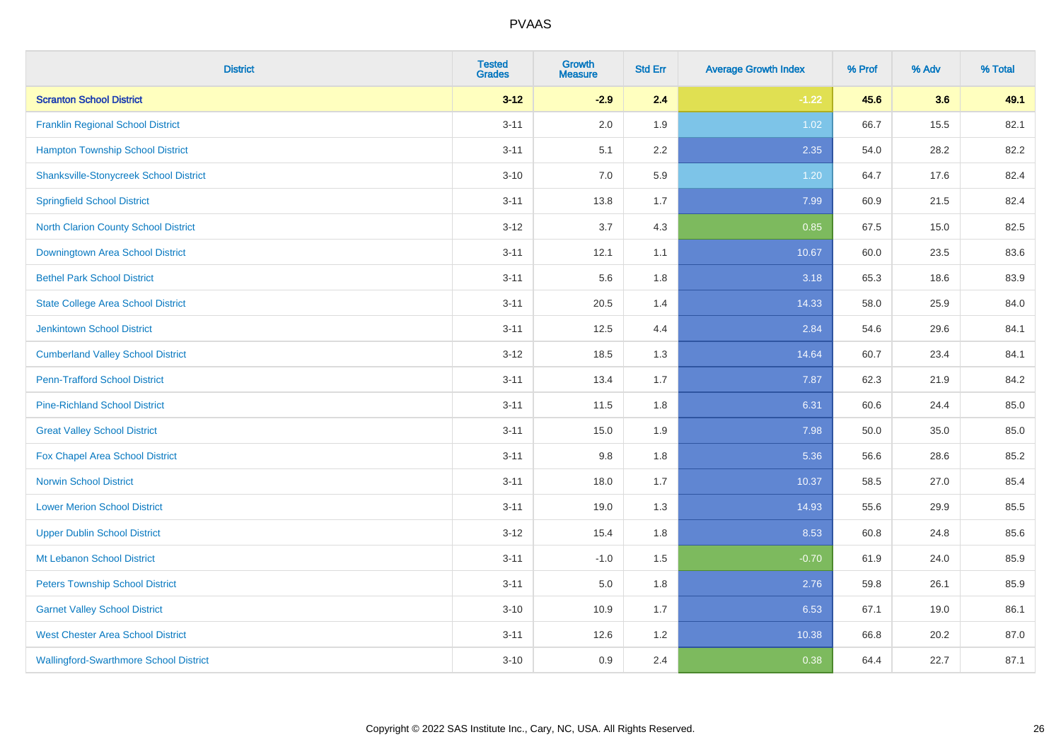| <b>District</b>                               | <b>Tested</b><br><b>Grades</b> | <b>Growth</b><br><b>Measure</b> | <b>Std Err</b> | <b>Average Growth Index</b> | % Prof | % Adv | % Total |
|-----------------------------------------------|--------------------------------|---------------------------------|----------------|-----------------------------|--------|-------|---------|
| <b>Scranton School District</b>               | $3 - 12$                       | $-2.9$                          | 2.4            | $-1.22$                     | 45.6   | 3.6   | 49.1    |
| <b>Franklin Regional School District</b>      | $3 - 11$                       | 2.0                             | 1.9            | 1.02                        | 66.7   | 15.5  | 82.1    |
| <b>Hampton Township School District</b>       | $3 - 11$                       | 5.1                             | 2.2            | 2.35                        | 54.0   | 28.2  | 82.2    |
| <b>Shanksville-Stonycreek School District</b> | $3 - 10$                       | 7.0                             | 5.9            | 1.20                        | 64.7   | 17.6  | 82.4    |
| <b>Springfield School District</b>            | $3 - 11$                       | 13.8                            | 1.7            | 7.99                        | 60.9   | 21.5  | 82.4    |
| <b>North Clarion County School District</b>   | $3 - 12$                       | 3.7                             | 4.3            | 0.85                        | 67.5   | 15.0  | 82.5    |
| Downingtown Area School District              | $3 - 11$                       | 12.1                            | 1.1            | 10.67                       | 60.0   | 23.5  | 83.6    |
| <b>Bethel Park School District</b>            | $3 - 11$                       | 5.6                             | 1.8            | 3.18                        | 65.3   | 18.6  | 83.9    |
| <b>State College Area School District</b>     | $3 - 11$                       | 20.5                            | 1.4            | 14.33                       | 58.0   | 25.9  | 84.0    |
| <b>Jenkintown School District</b>             | $3 - 11$                       | 12.5                            | 4.4            | 2.84                        | 54.6   | 29.6  | 84.1    |
| <b>Cumberland Valley School District</b>      | $3 - 12$                       | 18.5                            | 1.3            | 14.64                       | 60.7   | 23.4  | 84.1    |
| <b>Penn-Trafford School District</b>          | $3 - 11$                       | 13.4                            | 1.7            | 7.87                        | 62.3   | 21.9  | 84.2    |
| <b>Pine-Richland School District</b>          | $3 - 11$                       | 11.5                            | 1.8            | 6.31                        | 60.6   | 24.4  | 85.0    |
| <b>Great Valley School District</b>           | $3 - 11$                       | 15.0                            | 1.9            | 7.98                        | 50.0   | 35.0  | 85.0    |
| Fox Chapel Area School District               | $3 - 11$                       | 9.8                             | 1.8            | 5.36                        | 56.6   | 28.6  | 85.2    |
| <b>Norwin School District</b>                 | $3 - 11$                       | 18.0                            | 1.7            | 10.37                       | 58.5   | 27.0  | 85.4    |
| <b>Lower Merion School District</b>           | $3 - 11$                       | 19.0                            | 1.3            | 14.93                       | 55.6   | 29.9  | 85.5    |
| <b>Upper Dublin School District</b>           | $3 - 12$                       | 15.4                            | 1.8            | 8.53                        | 60.8   | 24.8  | 85.6    |
| Mt Lebanon School District                    | $3 - 11$                       | $-1.0$                          | 1.5            | $-0.70$                     | 61.9   | 24.0  | 85.9    |
| <b>Peters Township School District</b>        | $3 - 11$                       | 5.0                             | 1.8            | 2.76                        | 59.8   | 26.1  | 85.9    |
| <b>Garnet Valley School District</b>          | $3 - 10$                       | 10.9                            | 1.7            | 6.53                        | 67.1   | 19.0  | 86.1    |
| <b>West Chester Area School District</b>      | $3 - 11$                       | 12.6                            | 1.2            | 10.38                       | 66.8   | 20.2  | 87.0    |
| <b>Wallingford-Swarthmore School District</b> | $3 - 10$                       | 0.9                             | 2.4            | 0.38                        | 64.4   | 22.7  | 87.1    |